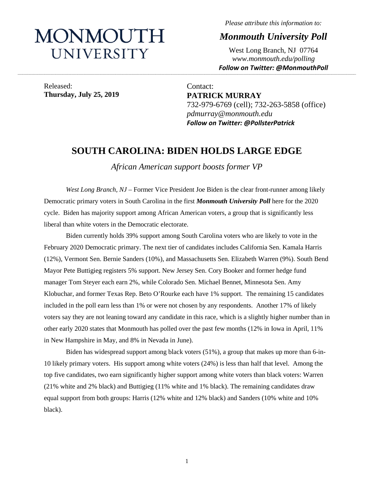# MONMOUTH UNIVERSITY

*Please attribute this information to:*

*Monmouth University Poll*

West Long Branch, NJ 07764 *www.monmouth.edu/polling Follow on Twitter: @MonmouthPoll*

Released: **Thursday, July 25, 2019**

Contact: **PATRICK MURRAY** 732-979-6769 (cell); 732-263-5858 (office) *pdmurray@monmouth.edu Follow on Twitter: @PollsterPatrick*

# **SOUTH CAROLINA: BIDEN HOLDS LARGE EDGE**

**\_\_\_\_\_\_\_\_\_\_\_\_\_\_\_\_\_\_\_\_\_\_\_\_\_\_\_\_\_\_\_\_\_\_\_\_\_\_\_\_\_\_\_\_\_\_\_\_\_\_\_\_\_\_\_\_\_\_\_\_\_\_\_\_\_\_\_\_\_\_\_\_\_\_\_\_\_\_\_\_\_\_\_\_\_\_\_\_\_\_\_\_\_\_\_\_\_\_\_\_\_\_\_\_\_\_\_\_\_\_\_\_\_\_\_\_\_\_\_\_\_\_\_\_\_\_\_\_\_\_\_\_\_\_\_\_\_\_\_\_\_\_\_\_\_\_\_\_\_\_\_\_\_\_\_\_\_\_\_\_\_\_\_\_\_\_\_\_\_\_\_\_\_\_\_\_\_\_\_\_\_\_\_\_\_\_\_\_\_\_\_\_\_\_\_\_\_\_\_\_\_\_\_\_\_\_\_\_\_\_\_\_\_\_\_\_\_\_\_\_\_\_\_\_\_\_\_\_\_\_\_\_\_\_\_\_\_\_\_\_\_\_\_\_\_\_\_\_\_\_\_\_\_\_\_\_\_\_\_\_\_\_\_\_\_\_\_\_\_\_\_\_\_\_\_\_\_**

*African American support boosts former VP*

*West Long Branch, NJ* – Former Vice President Joe Biden is the clear front-runner among likely Democratic primary voters in South Carolina in the first *Monmouth University Poll* here for the 2020 cycle. Biden has majority support among African American voters, a group that is significantly less liberal than white voters in the Democratic electorate.

Biden currently holds 39% support among South Carolina voters who are likely to vote in the February 2020 Democratic primary. The next tier of candidates includes California Sen. Kamala Harris (12%), Vermont Sen. Bernie Sanders (10%), and Massachusetts Sen. Elizabeth Warren (9%). South Bend Mayor Pete Buttigieg registers 5% support. New Jersey Sen. Cory Booker and former hedge fund manager Tom Steyer each earn 2%, while Colorado Sen. Michael Bennet, Minnesota Sen. Amy Klobuchar, and former Texas Rep. Beto O'Rourke each have 1% support. The remaining 15 candidates included in the poll earn less than 1% or were not chosen by any respondents. Another 17% of likely voters say they are not leaning toward any candidate in this race, which is a slightly higher number than in other early 2020 states that Monmouth has polled over the past few months (12% in Iowa in April, 11% in New Hampshire in May, and 8% in Nevada in June).

Biden has widespread support among black voters (51%), a group that makes up more than 6-in-10 likely primary voters. His support among white voters (24%) is less than half that level. Among the top five candidates, two earn significantly higher support among white voters than black voters: Warren (21% white and 2% black) and Buttigieg (11% white and 1% black). The remaining candidates draw equal support from both groups: Harris (12% white and 12% black) and Sanders (10% white and 10% black).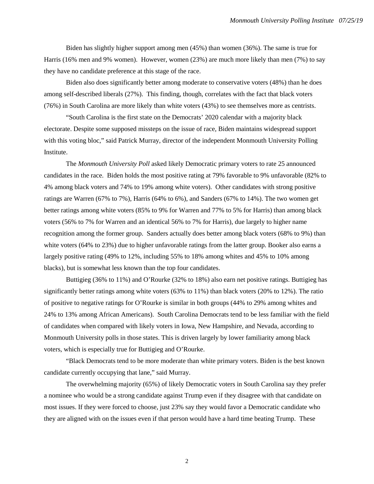Biden has slightly higher support among men (45%) than women (36%). The same is true for Harris (16% men and 9% women). However, women (23%) are much more likely than men (7%) to say they have no candidate preference at this stage of the race.

Biden also does significantly better among moderate to conservative voters (48%) than he does among self-described liberals (27%). This finding, though, correlates with the fact that black voters (76%) in South Carolina are more likely than white voters (43%) to see themselves more as centrists.

"South Carolina is the first state on the Democrats' 2020 calendar with a majority black electorate. Despite some supposed missteps on the issue of race, Biden maintains widespread support with this voting bloc," said Patrick Murray, director of the independent Monmouth University Polling Institute.

The *Monmouth University Poll* asked likely Democratic primary voters to rate 25 announced candidates in the race. Biden holds the most positive rating at 79% favorable to 9% unfavorable (82% to 4% among black voters and 74% to 19% among white voters). Other candidates with strong positive ratings are Warren (67% to 7%), Harris (64% to 6%), and Sanders (67% to 14%). The two women get better ratings among white voters (85% to 9% for Warren and 77% to 5% for Harris) than among black voters (56% to 7% for Warren and an identical 56% to 7% for Harris), due largely to higher name recognition among the former group. Sanders actually does better among black voters (68% to 9%) than white voters (64% to 23%) due to higher unfavorable ratings from the latter group. Booker also earns a largely positive rating (49% to 12%, including 55% to 18% among whites and 45% to 10% among blacks), but is somewhat less known than the top four candidates.

Buttigieg (36% to 11%) and O'Rourke (32% to 18%) also earn net positive ratings. Buttigieg has significantly better ratings among white voters (63% to 11%) than black voters (20% to 12%). The ratio of positive to negative ratings for O'Rourke is similar in both groups (44% to 29% among whites and 24% to 13% among African Americans). South Carolina Democrats tend to be less familiar with the field of candidates when compared with likely voters in Iowa, New Hampshire, and Nevada, according to Monmouth University polls in those states. This is driven largely by lower familiarity among black voters, which is especially true for Buttigieg and O'Rourke.

"Black Democrats tend to be more moderate than white primary voters. Biden is the best known candidate currently occupying that lane," said Murray.

The overwhelming majority (65%) of likely Democratic voters in South Carolina say they prefer a nominee who would be a strong candidate against Trump even if they disagree with that candidate on most issues. If they were forced to choose, just 23% say they would favor a Democratic candidate who they are aligned with on the issues even if that person would have a hard time beating Trump. These

2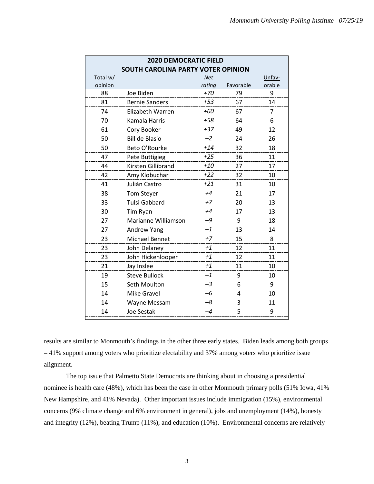| <b>2020 DEMOCRATIC FIELD</b> |                                           |            |           |        |  |  |  |  |  |  |
|------------------------------|-------------------------------------------|------------|-----------|--------|--|--|--|--|--|--|
|                              | <b>SOUTH CAROLINA PARTY VOTER OPINION</b> |            |           |        |  |  |  |  |  |  |
| Total w/                     |                                           | <b>Net</b> |           | Unfav- |  |  |  |  |  |  |
| opinion                      |                                           | rating     | Favorable | orable |  |  |  |  |  |  |
| 88                           | Joe Biden                                 | $+70$      | 79        | 9      |  |  |  |  |  |  |
| 81                           | <b>Bernie Sanders</b>                     | $+53$      | 67        | 14     |  |  |  |  |  |  |
| 74                           | Elizabeth Warren                          | +60        | 67        | 7      |  |  |  |  |  |  |
| 70                           | Kamala Harris                             | +58        | 64        | 6      |  |  |  |  |  |  |
| 61                           | Cory Booker                               | $+37$      | 49        | 12     |  |  |  |  |  |  |
| 50                           | <b>Bill de Blasio</b>                     | $-2$       | 24        | 26     |  |  |  |  |  |  |
| 50                           | Beto O'Rourke                             | $+14$      | 32        | 18     |  |  |  |  |  |  |
| 47                           | <b>Pete Buttigieg</b>                     | $+25$      | 36        | 11     |  |  |  |  |  |  |
| 44                           | Kirsten Gillibrand                        | $+10$      | 27        | 17     |  |  |  |  |  |  |
| 42                           | Amy Klobuchar                             | $+22$      | 32        | 10     |  |  |  |  |  |  |
| 41                           | Julián Castro                             | $+21$      | 31        | 10     |  |  |  |  |  |  |
| 38                           | <b>Tom Steyer</b>                         | $+4$       | 21        | 17     |  |  |  |  |  |  |
| 33                           | <b>Tulsi Gabbard</b>                      | $+7$       | 20        | 13     |  |  |  |  |  |  |
| 30                           | Tim Ryan                                  | $+4$       | 17        | 13     |  |  |  |  |  |  |
| 27                           | Marianne Williamson                       | $-9$       | 9         | 18     |  |  |  |  |  |  |
| 27                           | Andrew Yang                               | $-1$       | 13        | 14     |  |  |  |  |  |  |
| 23                           | Michael Bennet                            | $+7$       | 15        | 8      |  |  |  |  |  |  |
| 23                           | John Delaney                              | $+1$       | 12        | 11     |  |  |  |  |  |  |
| 23                           | John Hickenlooper                         | $+1$       | 12        | 11     |  |  |  |  |  |  |
| 21                           | Jay Inslee                                | $+1$       | 11        | 10     |  |  |  |  |  |  |
| 19                           | <b>Steve Bullock</b>                      | $-1$       | 9         | 10     |  |  |  |  |  |  |
| 15                           | Seth Moulton                              | $-3$       | 6         | 9      |  |  |  |  |  |  |
| 14                           | Mike Gravel                               | $-6$       | 4         | 10     |  |  |  |  |  |  |
| 14                           | Wayne Messam                              | $-8$       | 3         | 11     |  |  |  |  |  |  |
| 14                           | <b>Joe Sestak</b>                         | $-4$       | 5         | 9      |  |  |  |  |  |  |
|                              |                                           |            |           |        |  |  |  |  |  |  |

results are similar to Monmouth's findings in the other three early states. Biden leads among both groups – 41% support among voters who prioritize electability and 37% among voters who prioritize issue alignment.

The top issue that Palmetto State Democrats are thinking about in choosing a presidential nominee is health care (48%), which has been the case in other Monmouth primary polls (51% Iowa, 41% New Hampshire, and 41% Nevada). Other important issues include immigration (15%), environmental concerns (9% climate change and 6% environment in general), jobs and unemployment (14%), honesty and integrity (12%), beating Trump (11%), and education (10%). Environmental concerns are relatively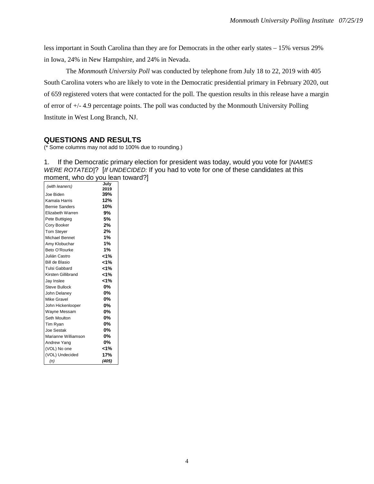less important in South Carolina than they are for Democrats in the other early states – 15% versus 29% in Iowa, 24% in New Hampshire, and 24% in Nevada.

The *Monmouth University Poll* was conducted by telephone from July 18 to 22, 2019 with 405 South Carolina voters who are likely to vote in the Democratic presidential primary in February 2020, out of 659 registered voters that were contacted for the poll. The question results in this release have a margin of error of +/- 4.9 percentage points. The poll was conducted by the Monmouth University Polling Institute in West Long Branch, NJ.

# **QUESTIONS AND RESULTS**

(\* Some columns may not add to 100% due to rounding.)

1. If the Democratic primary election for president was today, would you vote for [*NAMES WERE ROTATED*]? [*If UNDECIDED:* If you had to vote for one of these candidates at this moment, who do you lean toward?]

|                       | July    |
|-----------------------|---------|
| (with leaners)        | 2019    |
| Joe Biden             | 39%     |
| Kamala Harris         | 12%     |
| <b>Bernie Sanders</b> | 10%     |
| Elizabeth Warren      | 9%      |
| Pete Buttigieg        | 5%      |
| Cory Booker           | 2%      |
| <b>Tom Stever</b>     | 2%      |
| Michael Bennet        | 1%      |
| Amy Klobuchar         | 1%      |
| Beto O'Rourke         | $1\%$   |
| Julián Castro         | $< 1\%$ |
| <b>Bill de Blasio</b> | $< 1\%$ |
| Tulsi Gabbard         | 1%      |
| Kirsten Gillibrand    | $< 1\%$ |
| Jay Inslee            | 1%>     |
| <b>Steve Bullock</b>  | 0%      |
| John Delaney          | 0%      |
| Mike Gravel           | 0%      |
| John Hickenlooper     | 0%      |
| Wayne Messam          | 0%      |
| Seth Moulton          | 0%      |
| Tim Ryan              | 0%      |
| Joe Sestak            | 0%      |
| Marianne Williamson   | 0%      |
| Andrew Yang           | 0%      |
| (VOL) No one          | $< 1\%$ |
| (VOL) Undecided       | 17%     |
| (n)                   | (405)   |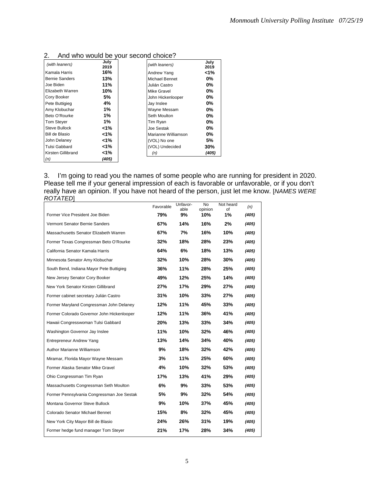| (with leaners)        | July<br>2019 | (with leaners)      | July<br>2019 |
|-----------------------|--------------|---------------------|--------------|
| Kamala Harris         | 16%          | Andrew Yang         | 1%           |
| <b>Bernie Sanders</b> | 13%          | Michael Bennet      | 0%           |
| Joe Biden             | 11%          | Julián Castro       | $0\%$        |
| Elizabeth Warren      | 10%          | Mike Gravel         | $0\%$        |
| Cory Booker           | 5%           | John Hickenlooper   | 0%           |
| Pete Buttigieg        | 4%           | Jay Inslee          | $0\%$        |
| Amy Klobuchar         | 1%           | Wayne Messam        | 0%           |
| Beto O'Rourke         | 1%           | Seth Moulton        | 0%           |
| <b>Tom Stever</b>     | 1%           | Tim Ryan            | 0%           |
| Steve Bullock         | $< 1\%$      | Joe Sestak          | 0%           |
| Bill de Blasio        | 1%>          | Marianne Williamson | $0\%$        |
| John Delaney          | 1%>          | (VOL) No one        | 5%           |
| Tulsi Gabbard         | 1%>          | (VOL) Undecided     | 30%          |
| Kirsten Gillibrand    | 1%>          | (n)                 | (405)        |
| (n)                   | (405)        |                     |              |

# 2. And who would be your second choice?

3. I'm going to read you the names of some people who are running for president in 2020. Please tell me if your general impression of each is favorable or unfavorable, or if you don't really have an opinion. If you have not heard of the person, just let me know. [*NAMES WERE ROTATED*]

|                                            | Favorable | Unfavor-<br>able | No<br>opinion | Not heard<br>of | (n)   |
|--------------------------------------------|-----------|------------------|---------------|-----------------|-------|
| Former Vice President Joe Biden            | 79%       | 9%               | 10%           | 1%              | (405) |
| Vermont Senator Bernie Sanders             | 67%       | 14%              | 16%           | 2%              | (405) |
| Massachusetts Senator Elizabeth Warren     | 67%       | 7%               | 16%           | 10%             | (405) |
| Former Texas Congressman Beto O'Rourke     | 32%       | 18%              | 28%           | 23%             | (405) |
| California Senator Kamala Harris           | 64%       | 6%               | 18%           | 13%             | (405) |
| Minnesota Senator Amy Klobuchar            | 32%       | 10%              | 28%           | 30%             | (405) |
| South Bend, Indiana Mayor Pete Buttigieg   | 36%       | 11%              | 28%           | 25%             | (405) |
| New Jersey Senator Cory Booker             | 49%       | 12%              | 25%           | 14%             | (405) |
| New York Senator Kirsten Gillibrand        | 27%       | 17%              | 29%           | 27%             | (405) |
| Former cabinet secretary Julián Castro     | 31%       | 10%              | 33%           | 27%             | (405) |
| Former Maryland Congressman John Delaney   | 12%       | 11%              | 45%           | 33%             | (405) |
| Former Colorado Governor John Hickenlooper | 12%       | 11%              | 36%           | 41%             | (405) |
| Hawaii Congresswoman Tulsi Gabbard         | 20%       | 13%              | 33%           | 34%             | (405) |
| Washington Governor Jay Inslee             | 11%       | 10%              | 32%           | 46%             | (405) |
| Entrepreneur Andrew Yang                   | 13%       | 14%              | 34%           | 40%             | (405) |
| Author Marianne Williamson                 | 9%        | 18%              | 32%           | 42%             | (405) |
| Miramar, Florida Mayor Wayne Messam        | 3%        | 11%              | 25%           | 60%             | (405) |
| Former Alaska Senator Mike Gravel          | 4%        | 10%              | 32%           | 53%             | (405) |
| Ohio Congressman Tim Ryan                  | 17%       | 13%              | 41%           | 29%             | (405) |
| Massachusetts Congressman Seth Moulton     | 6%        | 9%               | 33%           | 53%             | (405) |
| Former Pennsylvania Congressman Joe Sestak | 5%        | 9%               | 32%           | 54%             | (405) |
| Montana Governor Steve Bullock             | 9%        | 10%              | 37%           | 45%             | (405) |
| Colorado Senator Michael Bennet            | 15%       | 8%               | 32%           | 45%             | (405) |
| New York City Mayor Bill de Blasio         | 24%       | 26%              | 31%           | 19%             | (405) |
| Former hedge fund manager Tom Steyer       | 21%       | 17%              | 28%           | 34%             | (405) |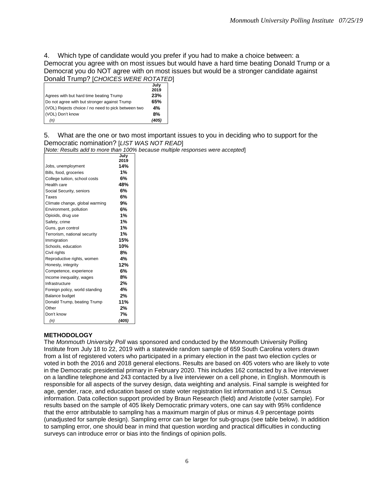4. Which type of candidate would you prefer if you had to make a choice between: a Democrat you agree with on most issues but would have a hard time beating Donald Trump or a Democrat you do NOT agree with on most issues but would be a stronger candidate against Donald Trump? [*CHOICES WERE ROTATED*]

|                                                    | July  |
|----------------------------------------------------|-------|
|                                                    | 2019  |
| Agrees with but hard time beating Trump            | 23%   |
| Do not agree with but stronger against Trump       | 65%   |
| (VOL) Rejects choice / no need to pick between two | 4%    |
| (VOL) Don't know                                   | 8%    |
| (n)                                                | (405) |

5. What are the one or two most important issues to you in deciding who to support for the Democratic nomination? [*LIST WAS NOT READ*]

[*Note: Results add to more than 100% because multiple responses were accepted*]

|                                | 2019<br>14% |
|--------------------------------|-------------|
|                                |             |
| Jobs, unemployment             |             |
| Bills, food, groceries         | 1%          |
| College tuition, school costs  | 6%          |
| Health care                    | 48%         |
| Social Security, seniors       | 6%          |
| Taxes                          | 6%          |
| Climate change, global warming | 9%          |
| Environment, pollution         | 6%          |
| Opioids, drug use              | 1%          |
| Safety, crime                  | 1%          |
| Guns, gun control              | 1%          |
| Terrorism, national security   | 1%          |
| Immigration                    | 15%         |
| Schools, education             | 10%         |
| Civil rights                   | 8%          |
| Reproductive rights, women     | 4%          |
| Honesty, integrity             | 12%         |
| Competence, experience         | 6%          |
| Income inequality, wages       | 8%          |
| Infrastructure                 | 2%          |
| Foreign policy, world standing | 4%          |
| <b>Balance budget</b>          | 2%          |
| Donald Trump, beating Trump    | 11%         |
| Other                          | 2%          |
| Don't know                     | 7%          |
| (n)                            | (405)       |

#### **METHODOLOGY**

The *Monmouth University Poll* was sponsored and conducted by the Monmouth University Polling Institute from July 18 to 22, 2019 with a statewide random sample of 659 South Carolina voters drawn from a list of registered voters who participated in a primary election in the past two election cycles or voted in both the 2016 and 2018 general elections. Results are based on 405 voters who are likely to vote in the Democratic presidential primary in February 2020. This includes 162 contacted by a live interviewer on a landline telephone and 243 contacted by a live interviewer on a cell phone, in English. Monmouth is responsible for all aspects of the survey design, data weighting and analysis. Final sample is weighted for age, gender, race, and education based on state voter registration list information and U.S. Census information. Data collection support provided by Braun Research (field) and Aristotle (voter sample). For results based on the sample of 405 likely Democratic primary voters, one can say with 95% confidence that the error attributable to sampling has a maximum margin of plus or minus 4.9 percentage points (unadjusted for sample design). Sampling error can be larger for sub-groups (see table below). In addition to sampling error, one should bear in mind that question wording and practical difficulties in conducting surveys can introduce error or bias into the findings of opinion polls.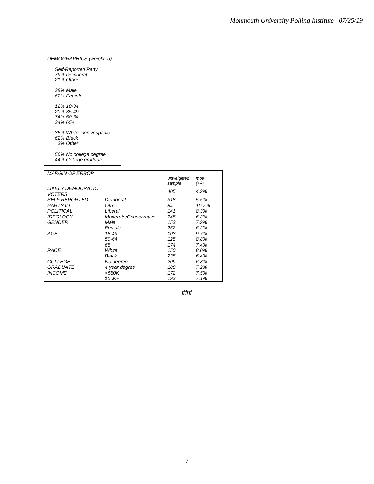#### *DEMOGRAPHICS (weighted)*

| Self-Reported Party<br>79% Democrat |  |
|-------------------------------------|--|
| 21% Other                           |  |
| 38% Male                            |  |
| 62% Female                          |  |
| 12% 18-34                           |  |
| 20% 35-49                           |  |
| $.34\% 50 - 64$                     |  |
| $.34\%$ 6.5+                        |  |
| 35% White, non-Hispanic             |  |
| 62% Black                           |  |
| 3% Other                            |  |

*56% No college degree 44% College graduate*

| <i>MARGIN OF ERROR</i>             |                       |                      |                |
|------------------------------------|-----------------------|----------------------|----------------|
|                                    |                       | unweighted<br>sample | moe<br>$(+/-)$ |
| LIKELY DEMOCRATIC<br><b>VOTERS</b> |                       | 405                  | 4.9%           |
| <b>SELF REPORTED</b>               | Democrat              | 318                  | 5.5%           |
| <b>PARTY ID</b>                    | Other                 | 84                   | 10.7%          |
| POLITICAL                          | Liberal               | 141                  | 8.3%           |
| <b>IDEOLOGY</b>                    | Moderate/Conservative | 245                  | 6.3%           |
| <b>GENDER</b>                      | Male                  | 153                  | 7.9%           |
|                                    | Female                | 252                  | 6.2%           |
| AGE                                | 18-49                 | 103                  | 9.7%           |
|                                    | 50-64                 | 125                  | 8.8%           |
|                                    | $65+$                 | 174                  | 7.4%           |
| <b>RACE</b>                        | White                 | 150                  | 8.0%           |
|                                    | Black                 | 235                  | 6.4%           |
| <b>COLLEGE</b>                     | No degree             | 209                  | 6.8%           |
| <b>GRADUATE</b>                    | 4 year degree         | 188                  | 7.2%           |
| <b>INCOME</b>                      | $<$ \$50K             | 172                  | 7.5%           |
|                                    | $$50K+$               | 193                  | 7.1%           |

**###**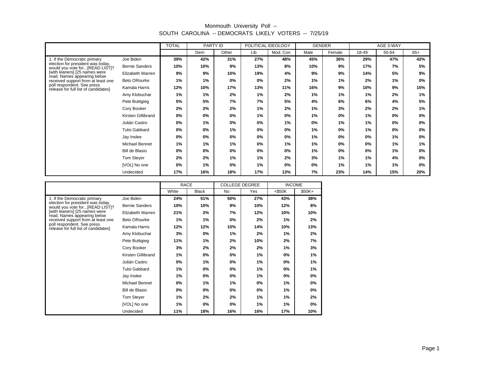|                                                                     |                       | <b>TOTAL</b> | PARTY ID |       | POLITICAL IDEOLOGY |          | <b>GENDER</b> |        | AGE 3-WAY |       |       |
|---------------------------------------------------------------------|-----------------------|--------------|----------|-------|--------------------|----------|---------------|--------|-----------|-------|-------|
|                                                                     |                       |              | Dem      | Other | Lib                | Mod, Con | Male          | Female | 18-49     | 50-64 | $65+$ |
| 1. If the Democratic primary                                        | Joe Biden             | 39%          | 42%      | 31%   | 27%                | 48%      | 45%           | 36%    | 29%       | 47%   | 42%   |
| election for president was today,<br>would you vote for[READ LIST]? | <b>Bernie Sanders</b> | 10%          | 10%      | 9%    | 13%                | 8%       | 10%           | 9%     | 17%       | 7%    | 5%    |
| [with leaners] [25 names were<br>read. Names appearing below        | Elizabeth Warren      | 9%           | 9%       | 10%   | 19%                | 4%       | 9%            | 9%     | 14%       | 5%    | 9%    |
| received support from at least one                                  | Beto ORourke          | 1%           | 1%       | 0%    | 0%                 | 2%       | 1%            | 1%     | 2%        | 1%    | 0%    |
| poll respondent. See press<br>release for full list of candidates]  | Kamala Harris         | 12%          | 10%      | 17%   | 13%                | 11%      | 16%           | 9%     | 10%       | 9%    | 15%   |
|                                                                     | Amy Klobuchar         | 1%           | 1%       | 2%    | 1%                 | 2%       | 1%            | 1%     | 1%        | 2%    | 1%    |
|                                                                     | Pete Buttigieg        | 5%           | 5%       | 7%    | 7%                 | 5%       | 4%            | 6%     | 6%        | 4%    | 5%    |
|                                                                     | Cory Booker           | 2%           | 2%       | 2%    | 1%                 | 2%       | 1%            | 3%     | 2%        | 2%    | 1%    |
|                                                                     | Kirsten Gillibrand    | 0%           | 0%       | 0%    | 1%                 | 0%       | 1%            | 0%     | 1%        | 0%    | 0%    |
|                                                                     | Julián Castro         | 0%           | $1\%$    | 0%    | 0%                 | 1%       | 0%            | 1%     | 1%        | 0%    | 0%    |
|                                                                     | Tulsi Gabbard         | 0%           | 0%       | 1%    | 0%                 | 0%       | 1%            | 0%     | 1%        | 0%    | 0%    |
|                                                                     | Jay Inslee            | 0%           | 0%       | 0%    | 0%                 | 0%       | 1%            | 0%     | 0%        | 1%    | 0%    |
|                                                                     | Michael Bennet        | 1%           | 1%       | 1%    | 0%                 | 1%       | 1%            | 0%     | 0%        | 1%    | 1%    |
|                                                                     | Bill de Blasio        | 0%           | 0%       | 0%    | 0%                 | 0%       | 1%            | 0%     | 0%        | 1%    | 0%    |
|                                                                     | Tom Steyer            | 2%           | 2%       | 1%    | 1%                 | 2%       | 3%            | 1%     | 1%        | 4%    | 0%    |
|                                                                     | [VOL] No one          | 0%           | 1%       | 0%    | 1%                 | 0%       | 0%            | 1%     | 1%        | 1%    | 0%    |
|                                                                     | Undecided             | 17%          | 16%      | 18%   | 17%                | 13%      | 7%            | 23%    | 14%       | 15%   | 20%   |

|                                                                      |                       | <b>RACE</b> |              | <b>COLLEGE DEGREE</b> |     | <b>INCOME</b> |         |
|----------------------------------------------------------------------|-----------------------|-------------|--------------|-----------------------|-----|---------------|---------|
|                                                                      |                       | White       | <b>Black</b> | <b>No</b>             | Yes | $<$ \$50K     | $$50K+$ |
| 1. If the Democratic primary                                         | Joe Biden             | 24%         | 51%          | 50%                   | 27% | 43%           | 38%     |
| election for president was today,<br>would you vote for [READ LIST]? | <b>Bernie Sanders</b> | 10%         | 10%          | 9%                    | 10% | 12%           | 8%      |
| [with leaners] [25 names were<br>read. Names appearing below         | Elizabeth Warren      | 21%         | 2%           | 7%                    | 12% | 10%           | 10%     |
| received support from at least one                                   | <b>Beto ORourke</b>   | 1%          | 1%           | 0%                    | 2%  | 1%            | 2%      |
| poll respondent. See press<br>release for full list of candidates]   | Kamala Harris         | 12%         | 12%          | 10%                   | 14% | 10%           | 13%     |
|                                                                      | Amy Klobuchar         | 3%          | 0%           | 1%                    | 2%  | 1%            | 2%      |
|                                                                      | Pete Buttigieg        | 11%         | 1%           | 2%                    | 10% | 2%            | 7%      |
|                                                                      | Cory Booker           | 3%          | 2%           | 2%                    | 2%  | 1%            | 3%      |
|                                                                      | Kirsten Gillibrand    | 1%          | 0%           | 0%                    | 1%  | 0%            | 1%      |
|                                                                      | Julián Castro         | 0%          | 1%           | 0%                    | 1%  | 0%            | 1%      |
|                                                                      | <b>Tulsi Gabbard</b>  | 1%          | 0%           | $0\%$                 | 1%  | $0\%$         | 1%      |
|                                                                      | Jay Inslee            | 1%          | 0%           | 0%                    | 1%  | 0%            | 0%      |
|                                                                      | Michael Bennet        | 0%          | 1%           | 1%                    | 0%  | 1%            | 0%      |
|                                                                      | Bill de Blasio        | 0%          | 0%           | 0%                    | 0%  | 1%            | $0\%$   |
|                                                                      | Tom Steyer            | 1%          | 2%           | 2%                    | 1%  | 1%            | 2%      |
|                                                                      | [VOL] No one          | 1%          | 0%           | 0%                    | 1%  | 1%            | $0\%$   |
|                                                                      | Undecided             | 11%         | 18%          | 16%                   | 16% | 17%           | 10%     |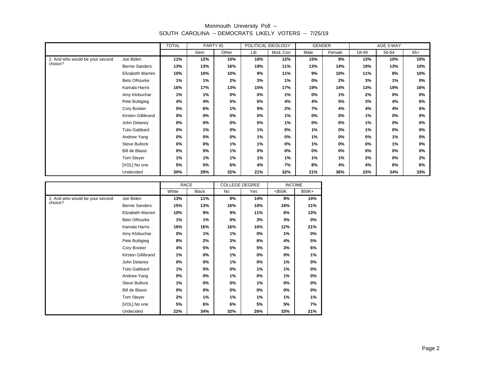|                                 |                       | <b>TOTAL</b> | PARTY ID |       | POLITICAL IDEOLOGY |          | <b>GENDER</b> |        | AGE 3-WAY |       |       |
|---------------------------------|-----------------------|--------------|----------|-------|--------------------|----------|---------------|--------|-----------|-------|-------|
|                                 |                       |              | Dem      | Other | Lib                | Mod, Con | Male          | Female | 18-49     | 50-64 | $65+$ |
| 2. And who would be your second | Joe Biden             | 11%          | 12%      | 10%   | 10%                | 12%      | 15%           | 9%     | 13%       | 10%   | 10%   |
| choice?                         | <b>Bernie Sanders</b> | 13%          | 13%      | 16%   | 19%                | 11%      | 13%           | 14%    | 19%       | 13%   | 10%   |
|                                 | Elizabeth Warren      | 10%          | 10%      | 10%   | 9%                 | 11%      | 9%            | 10%    | 11%       | 8%    | 10%   |
|                                 | Beto ORourke          | 1%           | 1%       | 2%    | 3%                 | 1%       | 0%            | 2%     | 3%        | 1%    | 0%    |
|                                 | Kamala Harris         | 16%          | 17%      | 13%   | 15%                | 17%      | 19%           | 14%    | 13%       | 19%   | 16%   |
|                                 | Amy Klobuchar         | 1%           | 1%       | 0%    | 0%                 | 1%       | 0%            | 1%     | 2%        | 0%    | 0%    |
|                                 | Pete Buttigieg        | 4%           | 4%       | 5%    | 6%                 | 4%       | 4%            | 5%     | 3%        | 4%    | 6%    |
|                                 | Cory Booker           | 5%           | 6%       | 1%    | 9%                 | 2%       | 7%            | 4%     | 4%        | 4%    | 6%    |
|                                 | Kirsten Gillibrand    | 0%           | 0%       | 0%    | 0%                 | 1%       | 0%            | 0%     | 1%        | 0%    | 0%    |
|                                 | John Delaney          | 0%           | 0%       | 0%    | 0%                 | 1%       | 0%            | $0\%$  | 1%        | 0%    | $0\%$ |
|                                 | Tulsi Gabbard         | 0%           | 1%       | 0%    | 1%                 | 0%       | 1%            | 0%     | 1%        | 0%    | 0%    |
|                                 | Andrew Yang           | 0%           | 0%       | 0%    | 1%                 | 0%       | 1%            | 0%     | 0%        | 1%    | 0%    |
|                                 | Steve Bullock         | 0%           | 0%       | 1%    | 1%                 | 0%       | 1%            | 0%     | 0%        | 1%    | 0%    |
|                                 | Bill de Blasio        | 0%           | 0%       | 1%    | 0%                 | 0%       | 0%            | 0%     | 0%        | 0%    | 0%    |
|                                 | Tom Stever            | 1%           | 1%       | 1%    | 1%                 | 1%       | 1%            | 1%     | 2%        | 0%    | 2%    |
|                                 | [VOL] No one          | 5%           | 5%       | 6%    | 4%                 | 7%       | 8%            | 4%     | 4%        | 6%    | 6%    |
|                                 | Undecided             | 30%          | 29%      | 32%   | 21%                | 32%      | 21%           | 36%    | 23%       | 34%   | 33%   |

|                                 |                       | RACE  |              | <b>COLLEGE DEGREE</b> |     | <b>INCOME</b> |        |
|---------------------------------|-----------------------|-------|--------------|-----------------------|-----|---------------|--------|
|                                 |                       | White | <b>Black</b> | <b>No</b>             | Yes | $<$ \$50K     | \$50K+ |
| 2. And who would be your second | Joe Biden             | 13%   | 11%          | 9%                    | 14% | 9%            | 14%    |
| choice?                         | <b>Bernie Sanders</b> | 15%   | 13%          | 16%                   | 10% | 18%           | 11%    |
|                                 | Elizabeth Warren      | 10%   | 9%           | 9%                    | 11% | 6%            | 13%    |
|                                 | Beto ORourke          | 1%    | 1%           | 0%                    | 3%  | 3%            | 0%     |
|                                 | Kamala Harris         | 16%   | 16%          | 16%                   | 16% | 12%           | 21%    |
|                                 | Amy Klobuchar         | 0%    | 1%           | 1%                    | 0%  | 1%            | 0%     |
|                                 | Pete Buttigieg        | 8%    | 2%           | 3%                    | 6%  | 4%            | 5%     |
|                                 | Cory Booker           | 4%    | 5%           | 5%                    | 5%  | 3%            | 6%     |
|                                 | Kirsten Gillibrand    | 1%    | 0%           | 1%                    | 0%  | 0%            | 1%     |
|                                 | John Delaney          | 0%    | 0%           | 1%                    | 0%  | 1%            | 0%     |
|                                 | <b>Tulsi Gabbard</b>  | 1%    | 0%           | 0%                    | 1%  | 1%            | 0%     |
|                                 | Andrew Yang           | 0%    | 0%           | 1%                    | 0%  | 1%            | 0%     |
|                                 | Steve Bullock         | 1%    | 0%           | 0%                    | 1%  | 0%            | 0%     |
|                                 | Bill de Blasio        | 0%    | 0%           | 0%                    | 0%  | 0%            | 0%     |
|                                 | Tom Steyer            | 2%    | 1%           | 1%                    | 1%  | 1%            | 1%     |
|                                 | [VOL] No one          | 5%    | 6%           | 6%                    | 5%  | 5%            | 7%     |
|                                 | Undecided             | 22%   | 34%          | 32%                   | 26% | 33%           | 21%    |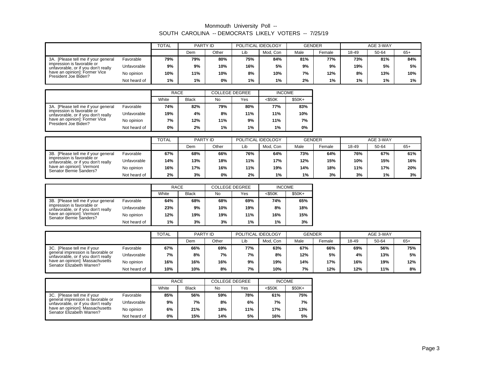|                                                                   |              | <b>TOTAL</b> | PARTY ID |       | POLITICAL IDEOLOGY |          | <b>GENDER</b> |        |       | AGE 3-WAY |       |
|-------------------------------------------------------------------|--------------|--------------|----------|-------|--------------------|----------|---------------|--------|-------|-----------|-------|
|                                                                   |              |              | Dem      | Other | Lib                | Mod. Con | Male          | Female | 18-49 | 50-64     | $65+$ |
| 3A. [Please tell me if your general                               | Favorable    | 79%          | 79%      | 80%   | 75%                | 84%      | 81%           | 77%    | 73%   | 81%       | 84%   |
| impression is favorable or<br>unfavorable, or if you don't really | Unfavorable  | 9%           | 9%       | 10%   | 16%                | 5%       | 9%            | 9%     | 19%   | 5%        | 5%    |
| have an opinion]: Former Vice<br>President Joe Biden?             | No opinion   | 10%          | 11%      | 10%   | 8%                 | 10%      | 7%            | 12%    | 8%    | 13%       | 10%   |
|                                                                   | Not heard of | 1%           | 1%       | 0%    | 1%                 | 1%       | 2%            | 1%     | $1\%$ | 1%        | $1\%$ |

|                                                                   |              | <b>RACE</b> |              | <b>COLLEGE DEGREE</b> |     | <b>INCOME</b> |         |
|-------------------------------------------------------------------|--------------|-------------|--------------|-----------------------|-----|---------------|---------|
|                                                                   |              | White       | <b>Black</b> | No                    | Yes | $<$ \$50K     | $$50K+$ |
| 3A. [Please tell me if your general                               | Favorable    | 74%         | 82%          | 79%                   | 80% | 77%           | 83%     |
| impression is favorable or<br>unfavorable, or if you don't really | Unfavorable  | 19%         | 4%           | 8%                    | 11% | 11%           | 10%     |
| have an opinion!: Former Vice<br>President Joe Biden?             | No opinion   | 7%          | 12%          | 11%                   | 9%  | 11%           | 7%      |
|                                                                   | Not heard of | 0%          | 2%           | 1%                    | 1%  | $1\%$         | 0%      |

|                                                                   |              | <b>TOTAL</b> | PARTY ID |       | POLITICAL IDEOLOGY |          | <b>GENDER</b> |        |       | AGE 3-WAY |       |
|-------------------------------------------------------------------|--------------|--------------|----------|-------|--------------------|----------|---------------|--------|-------|-----------|-------|
|                                                                   |              |              | Dem      | Other | Lib                | Mod. Con | Male          | Female | 18-49 | 50-64     | $65+$ |
| 3B. [Please tell me if your general                               | Favorable    | 67%          | 68%      | 66%   | 76%                | 64%      | 73%           | 64%    | 76%   | 67%       | 61%   |
| impression is favorable or<br>unfavorable, or if you don't really | Unfavorable  | 14%          | 13%      | 18%   | 11%                | 17%      | 12%           | 15%    | 10%   | 15%       | 16%   |
| have an opinion]: Vermont<br>Senator Bernie Sanders?              | No opinion   | 16%          | 17%      | 16%   | 11%                | 19%      | 14%           | 18%    | 11%   | 17%       | 20%   |
|                                                                   | Not heard of | 2%           | 3%       | 0%    | 2%                 | 1%       | 1%            | 3%     | 3%    | 1%        | 3%    |

|                                                                   |              | RACE                  |     | <b>COLLEGE DEGREE</b> |       | <b>INCOME</b> |         |  |
|-------------------------------------------------------------------|--------------|-----------------------|-----|-----------------------|-------|---------------|---------|--|
|                                                                   |              | White<br><b>Black</b> |     | No                    | Yes   | <\$50K        | $$50K+$ |  |
| 3B. [Please tell me if your general                               | Favorable    | 64%                   | 68% | 68%                   | 69%   | 74%           | 65%     |  |
| impression is favorable or<br>unfavorable, or if you don't really | Unfavorable  | 23%                   | 9%  | 10%                   | 19%   | 8%            | 18%     |  |
| have an opinion]: Vermont<br>Senator Bernie Sanders?              | No opinion   | 12%                   | 19% | 19%                   | 11%   | 16%           | 15%     |  |
|                                                                   | Not heard of | 1%                    | 3%  | 3%                    | $1\%$ | 1%            | 3%      |  |

|                                                                           |              | <b>TOTAL</b> | PARTY ID |       | POLITICAL IDEOLOGY |          | <b>GENDER</b> |        |       | AGE 3-WAY |       |
|---------------------------------------------------------------------------|--------------|--------------|----------|-------|--------------------|----------|---------------|--------|-------|-----------|-------|
|                                                                           |              |              | Dem      | Other | Lib                | Mod. Con | Male          | Female | 18-49 | 50-64     | $65+$ |
| 3C. [Please tell me if your                                               | Favorable    | 67%          | 66%      | 69%   | 77%                | 63%      | 67%           | 66%    | 69%   | 56%       | 75%   |
| general impression is favorable or<br>unfavorable, or if you don't really | Unfavorable  | 7%           | 8%       | 7%    | 7%                 | 8%       | 12%           | 5%     | 4%    | 13%       | 5%    |
| have an opinion!: Massachusetts<br>Senator Elizabeth Warren?              | No opinion   | 16%          | 16%      | 16%   | 9%                 | 19%      | 14%           | 17%    | 16%   | 19%       | 12%   |
|                                                                           | Not heard of | 10%          | 10%      | 8%    | 7%                 | 10%      | 7%            | 12%    | 12%   | 11%       | 8%    |

|                                                                           |              | <b>RACE</b> |              | <b>COLLEGE DEGREE</b> |     | <b>INCOME</b> |         |
|---------------------------------------------------------------------------|--------------|-------------|--------------|-----------------------|-----|---------------|---------|
|                                                                           |              | White       | <b>Black</b> | No                    | Yes | $<$ \$50K     | $$50K+$ |
| 3C. [Please tell me if your                                               | Favorable    | 85%         | 56%          | 59%                   | 78% | 61%           | 75%     |
| general impression is favorable or<br>unfavorable, or if you don't really | Unfavorable  | 9%          | 7%           | 8%                    | 6%  | 7%            | 7%      |
| have an opinion!: Massachusetts<br>Senator Elizabeth Warren?              | No opinion   | 6%          | 21%          | 18%                   | 11% | 17%           | 13%     |
|                                                                           | Not heard of | 0%          | 15%          | 14%                   | 5%  | 16%           | 5%      |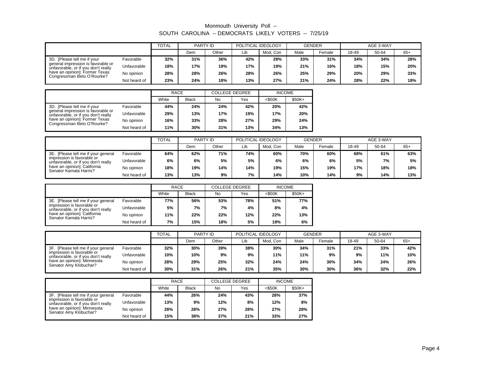|                                                                           |              | <b>TOTAL</b> | PARTY ID |       | POLITICAL IDEOLOGY |          | <b>GENDER</b> |        |       | AGE 3-WAY |       |
|---------------------------------------------------------------------------|--------------|--------------|----------|-------|--------------------|----------|---------------|--------|-------|-----------|-------|
|                                                                           |              |              | Dem      | Other | Lib                | Mod. Con | Male          | Female | 18-49 | 50-64     | $65+$ |
| 3D. [Please tell me if your                                               | Favorable    | 32%          | 31%      | 36%   | 42%                | 28%      | 33%           | 31%    | 34%   | 34%       | 28%   |
| general impression is favorable or<br>unfavorable, or if you don't really | Unfavorable  | 18%          | 17%      | 19%   | 17%                | 19%      | 21%           | 16%    | 18%   | 15%       | 20%   |
| have an opinion]: Former Texas<br>Congressman Beto O'Rourke?              | No opinion   | 28%          | 28%      | 26%   | 28%                | 26%      | 25%           | 29%    | 20%   | 29%       | 33%   |
|                                                                           | Not heard of | 23%          | 24%      | 18%   | 13%                | 27%      | 21%           | 24%    | 28%   | 22%       | 18%   |

|                                                                           |              | <b>RACE</b> |              | <b>COLLEGE DEGREE</b> |     | <b>INCOME</b> |         |
|---------------------------------------------------------------------------|--------------|-------------|--------------|-----------------------|-----|---------------|---------|
|                                                                           |              | White       | <b>Black</b> | No                    | Yes | $<$ \$50K     | $$50K+$ |
| 3D. [Please tell me if your                                               | Favorable    | 44%         | 24%          | 24%                   | 42% | 20%           | 42%     |
| general impression is favorable or<br>unfavorable, or if you don't really | Unfavorable  | 29%         | 13%          | 17%                   | 19% | 17%           | 20%     |
| have an opinion!: Former Texas<br>Congressman Beto O'Rourke?              | No opinion   | 16%         | 33%          | 28%                   | 27% | 29%           | 24%     |
|                                                                           | Not heard of | 11%         | 30%          | 31%                   | 13% | 34%           | 13%     |

|                                                                   |              | <b>TOTAL</b> | PARTY ID |       | POLITICAL IDEOLOGY |          | <b>GENDER</b> |        |       | AGE 3-WAY |       |
|-------------------------------------------------------------------|--------------|--------------|----------|-------|--------------------|----------|---------------|--------|-------|-----------|-------|
|                                                                   |              |              | Dem      | Other | Lib                | Mod, Con | Male          | Female | 18-49 | 50-64     | $65+$ |
| 3E. [Please tell me if your general                               | Favorable    | 64%          | 62%      | 71%   | 74%                | 60%      | 70%           | 60%    | 68%   | 61%       | 63%   |
| impression is favorable or<br>unfavorable, or if you don't really | Unfavorable  | 6%           | 6%       | 5%    | 5%                 | 6%       | 6%            | 6%     | 5%    | 7%        | 5%    |
| have an opinion]: California<br>Senator Kamala Harris?            | No opinion   | 18%          | 19%      | 14%   | 14%                | 19%      | 15%           | 19%    | 17%   | 18%       | 18%   |
|                                                                   | Not heard of | 13%          | 13%      | 9%    | 7%                 | 14%      | 10%           | 14%    | 9%    | 14%       | 13%   |

|                                                                   |              | <b>RACE</b> |              | <b>COLLEGE DEGREE</b> |     | <b>INCOME</b> |         |
|-------------------------------------------------------------------|--------------|-------------|--------------|-----------------------|-----|---------------|---------|
|                                                                   |              | White       | <b>Black</b> | No                    | Yes | <\$50K        | $$50K+$ |
| 3E. [Please tell me if your general]                              | Favorable    | 77%         | 56%          | 53%                   | 78% | 51%           | 77%     |
| impression is favorable or<br>unfavorable, or if you don't really | Unfavorable  | 5%          | 7%           | 7%                    | 4%  | 8%            | 4%      |
| have an opinion]: California<br>Senator Kamala Harris?            | No opinion   | 11%         | 22%          | 22%                   | 12% | 22%           | 13%     |
|                                                                   | Not heard of | 7%          | 15%          | 18%                   | 5%  | 19%           | 6%      |

|                                                                   |              | <b>TOTAL</b> | PARTY ID |       | POLITICAL IDEOLOGY |          | <b>GENDER</b> |        |       | AGE 3-WAY |       |
|-------------------------------------------------------------------|--------------|--------------|----------|-------|--------------------|----------|---------------|--------|-------|-----------|-------|
|                                                                   |              |              | Dem      | Other | Lib                | Mod, Con | Male          | Female | 18-49 | 50-64     | $65+$ |
| 3F. [Please tell me if your general                               | Favorable    | 32%          | 30%      | 39%   | 38%                | 30%      | 34%           | 31%    | 21%   | 33%       | 42%   |
| impression is favorable or<br>unfavorable, or if you don't really | Unfavorable  | 10%          | 10%      | 9%    | 9%                 | 11%      | 11%           | 9%     | 9%    | 11%       | 10%   |
| have an opinion]: Minnesota<br>Senator Amy Klobuchar?             | No opinion   | 28%          | 29%      | 25%   | 32%                | 24%      | 24%           | 30%    | 34%   | 24%       | 26%   |
|                                                                   | Not heard of | 30%          | 31%      | 26%   | 21%                | 35%      | 30%           | 30%    | 36%   | 32%       | 22%   |

|                                                                   |              | <b>RACE</b> |              | <b>COLLEGE DEGREE</b> |     | <b>INCOME</b> |         |
|-------------------------------------------------------------------|--------------|-------------|--------------|-----------------------|-----|---------------|---------|
|                                                                   |              | White       | <b>Black</b> | No                    | Yes | $<$ \$50K     | $$50K+$ |
| 3F. [Please tell me if your general]                              | Favorable    | 44%         | 26%          | 24%                   | 43% | 28%           | 37%     |
| impression is favorable or<br>unfavorable, or if you don't really | Unfavorable  | 13%         | 9%           | 12%                   | 8%  | 12%           | 8%      |
| have an opinion]: Minnesota<br>Senator Amy Klobuchar?             | No opinion   | 28%         | 28%          | 27%                   | 28% | 27%           | 28%     |
|                                                                   | Not heard of | 15%         | 38%          | 37%                   | 21% | 33%           | 27%     |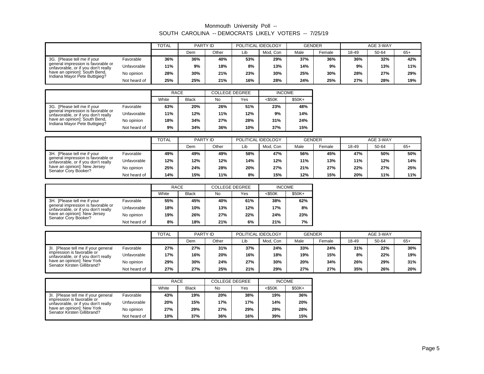|                                                                           |              | <b>TOTAL</b> | PARTY ID |       | POLITICAL IDEOLOGY |          | <b>GENDER</b> |        |       | AGE 3-WAY |       |
|---------------------------------------------------------------------------|--------------|--------------|----------|-------|--------------------|----------|---------------|--------|-------|-----------|-------|
|                                                                           |              |              | Dem      | Other | Lib                | Mod. Con | Male          | Female | 18-49 | 50-64     | $65+$ |
| 3G. [Please tell me if your                                               | Favorable    | 36%          | 36%      | 40%   | 53%                | 29%      | 37%           | 36%    | 36%   | 32%       | 42%   |
| general impression is favorable or<br>unfavorable, or if you don't really | Unfavorable  | 11%          | 9%       | 18%   | 8%                 | 13%      | 14%           | 9%     | 9%    | 13%       | 11%   |
| have an opinion]: South Bend,<br>Indiana Mayor Pete Buttigieg?            | No opinion   | 28%          | 30%      | 21%   | 23%                | 30%      | 25%           | 30%    | 28%   | 27%       | 29%   |
|                                                                           | Not heard of | 25%          | 25%      | 21%   | 16%                | 28%      | 24%           | 25%    | 27%   | 28%       | 19%   |

|                                                                           |              | <b>RACE</b> |              | <b>COLLEGE DEGREE</b> |     | <b>INCOME</b> |         |
|---------------------------------------------------------------------------|--------------|-------------|--------------|-----------------------|-----|---------------|---------|
|                                                                           |              | White       | <b>Black</b> | No                    | Yes | $<$ \$50K     | $$50K+$ |
| 3G. [Please tell me if your                                               | Favorable    | 63%         | 20%          | 26%                   | 51% | 23%           | 48%     |
| general impression is favorable or<br>unfavorable, or if you don't really | Unfavorable  | 11%         | 12%          | 11%                   | 12% | 9%            | 14%     |
| have an opinion!: South Bend.<br>Indiana Mayor Pete Buttigieg?            | No opinion   | 18%         | 34%          | 27%                   | 28% | 31%           | 24%     |
|                                                                           | Not heard of | 9%          | 34%          | 36%                   | 10% | 37%           | 15%     |

|                                                                           |              | TOTAL | PARTY ID |       | POLITICAL IDEOLOGY |          | <b>GENDER</b> |        |       | AGE 3-WAY |       |
|---------------------------------------------------------------------------|--------------|-------|----------|-------|--------------------|----------|---------------|--------|-------|-----------|-------|
|                                                                           |              |       | Dem      | Other | Lib                | Mod. Con | Male          | Female | 18-49 | 50-64     | $65+$ |
| 3H. [Please tell me if your                                               | Favorable    | 49%   | 49%      | 49%   | 58%                | 47%      | 56%           | 45%    | 47%   | 50%       | 50%   |
| general impression is favorable or<br>unfavorable, or if you don't really | Unfavorable  | 12%   | 12%      | 12%   | 14%                | 12%      | 11%           | 13%    | 11%   | 12%       | 14%   |
| have an opinion]: New Jersey<br>Senator Corv Booker?                      | No opinion   | 25%   | 24%      | 28%   | 20%                | 27%      | 21%           | 27%    | 22%   | 27%       | 25%   |
|                                                                           | Not heard of | 14%   | 15%      | 11%   | 8%                 | 15%      | 12%           | 15%    | 20%   | 11%       | 11%   |

|                                                                           |              | RACE  |              | <b>COLLEGE DEGREE</b> |     | <b>INCOME</b> |         |
|---------------------------------------------------------------------------|--------------|-------|--------------|-----------------------|-----|---------------|---------|
|                                                                           |              | White | <b>Black</b> | No.                   | Yes | <\$50K        | $$50K+$ |
| 3H. [Please tell me if your                                               | Favorable    | 55%   | 45%          | 40%                   | 61% | 38%           | 62%     |
| general impression is favorable or<br>unfavorable, or if you don't really | Unfavorable  | 18%   | 10%          | 13%                   | 12% | 17%           | 8%      |
| have an opinion]: New Jersey<br>Senator Cory Booker?                      | No opinion   | 19%   | 26%          | 27%                   | 22% | 24%           | 23%     |
|                                                                           | Not heard of | 8%    | 18%          | 21%                   | 6%  | 21%           | 7%      |

|                                                                   |              | <b>TOTAL</b> | PARTY ID |       | POLITICAL IDEOLOGY |          | <b>GENDER</b> |        |       | AGE 3-WAY |       |
|-------------------------------------------------------------------|--------------|--------------|----------|-------|--------------------|----------|---------------|--------|-------|-----------|-------|
|                                                                   |              |              | Dem      | Other | Lib                | Mod. Con | Male          | Female | 18-49 | 50-64     | $65+$ |
| 3I. [Please tell me if your general                               | Favorable    | 27%          | 27%      | 31%   | 37%                | 24%      | 33%           | 24%    | 31%   | 22%       | 30%   |
| impression is favorable or<br>unfavorable, or if you don't really | Unfavorable  | 17%          | 16%      | 20%   | 16%                | 18%      | 19%           | 15%    | 8%    | 22%       | 19%   |
| have an opinion]: New York<br>Senator Kirsten Gillibrand?         | No opinion   | 29%          | 30%      | 24%   | 27%                | 30%      | 20%           | 34%    | 26%   | 29%       | 31%   |
|                                                                   | Not heard of | 27%          | 27%      | 25%   | 21%                | 29%      | 27%           | 27%    | 35%   | 26%       | 20%   |

|                                                                   |              | RACE  |              | <b>COLLEGE DEGREE</b> |     | <b>INCOME</b> |         |
|-------------------------------------------------------------------|--------------|-------|--------------|-----------------------|-----|---------------|---------|
|                                                                   |              | White | <b>Black</b> | No                    | Yes | $<$ \$50K     | $$50K+$ |
| 3I. [Please tell me if your general                               | Favorable    | 43%   | 19%          | 20%                   | 38% | 19%           | 36%     |
| impression is favorable or<br>unfavorable, or if you don't really | Unfavorable  | 20%   | 15%          | 17%                   | 17% | 14%           | 20%     |
| have an opinion]: New York<br>Senator Kirsten Gillibrand?         | No opinion   | 27%   | 29%          | 27%                   | 29% | 29%           | 28%     |
|                                                                   | Not heard of | 10%   | 37%          | 36%                   | 16% | 39%           | 15%     |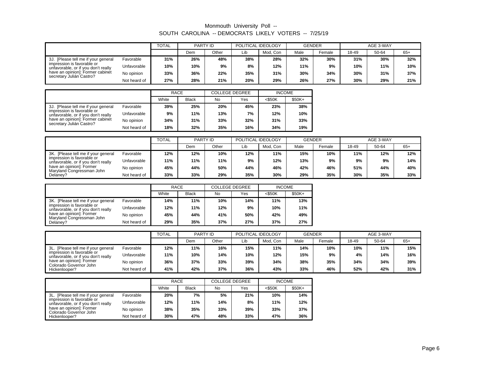|                                                                   |              | <b>TOTAL</b> | PARTY ID |       | POLITICAL IDEOLOGY |          | <b>GENDER</b> |        |       | AGE 3-WAY |       |
|-------------------------------------------------------------------|--------------|--------------|----------|-------|--------------------|----------|---------------|--------|-------|-----------|-------|
|                                                                   |              |              | Dem      | Other | Lib                | Mod. Con | Male          | Female | 18-49 | 50-64     | $65+$ |
| 3J. [Please tell me if your general                               | Favorable    | 31%          | 26%      | 48%   | 38%                | 28%      | 32%           | 30%    | 31%   | 30%       | 32%   |
| impression is favorable or<br>unfavorable, or if you don't really | Unfavorable  | 10%          | 10%      | 9%    | 8%                 | 12%      | 11%           | 9%     | 10%   | 11%       | 10%   |
| have an opinion]: Former cabinet<br>secretary Julián Castro?      | No opinion   | 33%          | 36%      | 22%   | 35%                | 31%      | 30%           | 34%    | 30%   | 31%       | 37%   |
|                                                                   | Not heard of | 27%          | 28%      | 21%   | 20%                | 29%      | 26%           | 27%    | 30%   | 29%       | 21%   |

|                                                                   |              | <b>RACE</b> |              | <b>COLLEGE DEGREE</b> |     | <b>INCOME</b> |         |
|-------------------------------------------------------------------|--------------|-------------|--------------|-----------------------|-----|---------------|---------|
|                                                                   |              | White       | <b>Black</b> | No                    | Yes | $<$ \$50K     | $$50K+$ |
| 3J. [Please tell me if your general                               | Favorable    | 39%         | 25%          | 20%                   | 45% | 23%           | 38%     |
| impression is favorable or<br>unfavorable, or if you don't really | Unfavorable  | 9%          | 11%          | 13%                   | 7%  | 12%           | 10%     |
| have an opinion]: Former cabinet<br>secretary Julián Castro?      | No opinion   | 34%         | 31%          | 33%                   | 32% | 31%           | 33%     |
|                                                                   | Not heard of | 18%         | 32%          | 35%                   | 16% | 34%           | 19%     |

|                                                                   |              | TOTAL | PARTY ID |       | POLITICAL IDEOLOGY |          | <b>GENDER</b> |        |       | AGE 3-WAY |       |
|-------------------------------------------------------------------|--------------|-------|----------|-------|--------------------|----------|---------------|--------|-------|-----------|-------|
|                                                                   |              |       | Dem      | Other | Lib                | Mod. Con | Male          | Female | 18-49 | 50-64     | $65+$ |
| 3K. [Please tell me if your general                               | Favorable    | 12%   | 12%      | 10%   | 12%                | 11%      | 15%           | 10%    | 11%   | 12%       | 12%   |
| impression is favorable or<br>unfavorable, or if you don't really | Unfavorable  | 11%   | 11%      | 11%   | 9%                 | 12%      | 13%           | 9%     | 9%    | 9%        | 14%   |
| have an opinion]: Former<br>Maryland Congressman John             | No opinion   | 45%   | 44%      | 50%   | 44%                | 46%      | 42%           | 46%    | 51%   | 44%       | 40%   |
| Delaney?                                                          | Not heard of | 33%   | 33%      | 29%   | 35%                | 30%      | 29%           | 35%    | 30%   | 35%       | 33%   |

|                                                                   |              | RACE  |              | <b>COLLEGE DEGREE</b> |     | <b>INCOME</b> |        |
|-------------------------------------------------------------------|--------------|-------|--------------|-----------------------|-----|---------------|--------|
|                                                                   |              | White | <b>Black</b> | No                    | Yes | <\$50K        | \$50K+ |
| 3K. [Please tell me if your general]                              | Favorable    | 14%   | 11%          | 10%                   | 14% | 11%           | 13%    |
| impression is favorable or<br>unfavorable, or if you don't really | Unfavorable  | 12%   | 11%          | 12%                   | 9%  | 10%           | 11%    |
| have an opinion]: Former<br>Maryland Congressman John             | No opinion   | 45%   | 44%          | 41%                   | 50% | 42%           | 49%    |
| Delanev?                                                          | Not heard of | 29%   | 35%          | 37%                   | 27% | 37%           | 27%    |

|                                                                   |              | <b>TOTAL</b> | PARTY ID |       | POLITICAL IDEOLOGY |          | <b>GENDER</b> |        |       | AGE 3-WAY |       |
|-------------------------------------------------------------------|--------------|--------------|----------|-------|--------------------|----------|---------------|--------|-------|-----------|-------|
|                                                                   |              |              | Dem      | Other | Lib                | Mod. Con | Male          | Female | 18-49 | 50-64     | $65+$ |
| . [Please tell me if your general<br>3L.                          | Favorable    | 12%          | 11%      | 16%   | 15%                | 11%      | 14%           | 10%    | 10%   | 11%       | 15%   |
| impression is favorable or<br>unfavorable, or if you don't really | Unfavorable  | 11%          | 10%      | 14%   | 10%                | 12%      | 15%           | 9%     | 4%    | 14%       | 16%   |
| have an opinion]: Former<br>Colorado Governor John                | No opinion   | 36%          | 37%      | 33%   | 39%                | 34%      | 38%           | 35%    | 34%   | 34%       | 39%   |
| Hickenlooper?                                                     | Not heard of | 41%          | 42%      | 37%   | 36%                | 43%      | 33%           | 46%    | 52%   | 42%       | 31%   |

|                                                                   |              | RACE  |              | <b>COLLEGE DEGREE</b> |     | <b>INCOME</b> |        |
|-------------------------------------------------------------------|--------------|-------|--------------|-----------------------|-----|---------------|--------|
|                                                                   |              | White | <b>Black</b> | No                    | Yes | $<$ \$50K     | \$50K+ |
| 3L. [Please tell me if your general                               | Favorable    | 20%   | 7%           | 5%                    | 21% | 10%           | 14%    |
| impression is favorable or<br>unfavorable, or if you don't really | Unfavorable  | 12%   | 11%          | 14%                   | 8%  | 11%           | 12%    |
| have an opinion]: Former<br>Colorado Governor John                | No opinion   | 38%   | 35%          | 33%                   | 39% | 33%           | 37%    |
| Hickenlooper?                                                     | Not heard of | 30%   | 47%          | 48%                   | 33% | 47%           | 36%    |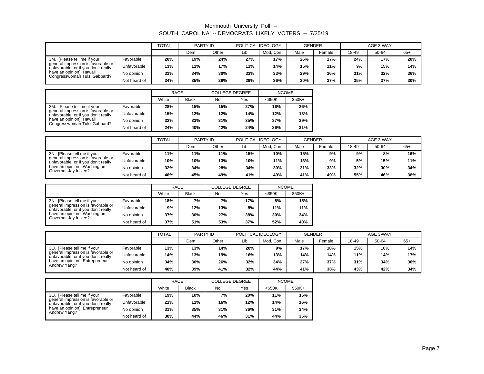|                                                                           |              | TOTAL | PARTY ID |       |     | POLITICAL IDEOLOGY | <b>GENDER</b> |        |       | AGE 3-WAY |       |
|---------------------------------------------------------------------------|--------------|-------|----------|-------|-----|--------------------|---------------|--------|-------|-----------|-------|
|                                                                           |              |       | Dem      | Other | Lib | Mod. Con           | Male          | Female | 18-49 | 50-64     | $65+$ |
| 3M. [Please tell me if your                                               | Favorable    | 20%   | 19%      | 24%   | 27% | 17%                | 26%           | 17%    | 24%   | 17%       | 20%   |
| general impression is favorable or<br>unfavorable, or if you don't really | Unfavorable  | 13%   | 11%      | 17%   | 11% | 14%                | 15%           | 11%    | 9%    | 15%       | 14%   |
| have an opinion]: Hawaii<br>Congresswoman Tulsi Gabbard?                  | No opinion   | 33%   | 34%      | 30%   | 33% | 33%                | 29%           | 36%    | 31%   | 32%       | 36%   |
|                                                                           | Not heard of | 34%   | 35%      | 29%   | 29% | 36%                | 30%           | 37%    | 35%   | 37%       | 30%   |

|                                                                           |              | <b>RACE</b> |              | <b>COLLEGE DEGREE</b> |     | <b>INCOME</b> |         |
|---------------------------------------------------------------------------|--------------|-------------|--------------|-----------------------|-----|---------------|---------|
|                                                                           |              | White       | <b>Black</b> | No                    | Yes | $<$ \$50K     | $$50K+$ |
| 3M.<br>[Please tell me if your                                            | Favorable    | 28%         | 15%          | 15%                   | 27% | 16%           | 26%     |
| general impression is favorable or<br>unfavorable, or if you don't really | Unfavorable  | 15%         | 12%          | 12%                   | 14% | 12%           | 13%     |
| have an opinion]: Hawaii<br>Congresswoman Tulsi Gabbard?                  | No opinion   | 32%         | 33%          | 31%                   | 35% | 37%           | 29%     |
|                                                                           | Not heard of | 24%         | 40%          | 42%                   | 24% | 36%           | 31%     |

|                                                                           |              | TOTAL | PARTY ID |       | POLITICAL IDEOLOGY |          | <b>GENDER</b> |        |       | AGE 3-WAY |       |
|---------------------------------------------------------------------------|--------------|-------|----------|-------|--------------------|----------|---------------|--------|-------|-----------|-------|
|                                                                           |              |       | Dem      | Other | Lib                | Mod. Con | Male          | Female | 18-49 | 50-64     | $65+$ |
| 3N. [Please tell me if your                                               | Favorable    | 11%   | 11%      | 11%   | 15%                | 10%      | 15%           | 9%     | 9%    | 8%        | 16%   |
| general impression is favorable or<br>unfavorable, or if you don't really | Unfavorable  | 10%   | 10%      | 13%   | 10%                | 11%      | 13%           | 9%     | 5%    | 15%       | 11%   |
| have an opinion]: Washington<br>Governor Jay Inslee?                      | No opinion   | 32%   | 34%      | 28%   | 34%                | 30%      | 31%           | 33%    | 32%   | 30%       | 34%   |
|                                                                           | Not heard of | 46%   | 45%      | 49%   | 41%                | 49%      | 41%           | 49%    | 55%   | 46%       | 38%   |

|                                                                           |              | <b>RACE</b> |              | <b>COLLEGE DEGREE</b> |     | <b>INCOME</b> |         |
|---------------------------------------------------------------------------|--------------|-------------|--------------|-----------------------|-----|---------------|---------|
|                                                                           |              | White       | <b>Black</b> | No                    | Yes | $<$ \$50K     | $$50K+$ |
| 3N. [Please tell me if your                                               | Favorable    | 18%         | 7%           | 7%                    | 17% | 8%            | 15%     |
| general impression is favorable or<br>unfavorable, or if you don't really | Unfavorable  | 9%          | 12%          | 13%                   | 8%  | 11%           | 11%     |
| have an opinion]: Washington<br>Governor Jay Inslee?                      | No opinion   | 37%         | 30%          | 27%                   | 38% | 30%           | 34%     |
|                                                                           | Not heard of | 37%         | 51%          | 53%                   | 37% | 52%           | 40%     |

|                                                                           |              | <b>TOTAL</b> | PARTY ID |       | POLITICAL IDEOLOGY |          | <b>GENDER</b> |        | AGE 3-WAY |       |       |
|---------------------------------------------------------------------------|--------------|--------------|----------|-------|--------------------|----------|---------------|--------|-----------|-------|-------|
|                                                                           |              |              | Dem      | Other | Lib                | Mod. Con | Male          | Female | 18-49     | 50-64 | $65+$ |
| 3O. [Please tell me if your                                               | Favorable    | 13%          | 13%      | 14%   | 20%                | 9%       | 17%           | 10%    | 15%       | 10%   | 14%   |
| general impression is favorable or<br>unfavorable, or if you don't really | Unfavorable  | 14%          | 13%      | 19%   | 16%                | 13%      | 14%           | 14%    | 11%       | 14%   | 17%   |
| have an opinion]: Entrepreneur<br>Andrew Yang?                            | No opinion   | 34%          | 36%      | 26%   | 32%                | 34%      | 27%           | 37%    | 31%       | 34%   | 36%   |
|                                                                           | Not heard of | 40%          | 39%      | 41%   | 32%                | 44%      | 41%           | 38%    | 43%       | 42%   | 34%   |

|                                                                           |              | <b>RACE</b> |              | <b>COLLEGE DEGREE</b> |     | <b>INCOME</b> |         |
|---------------------------------------------------------------------------|--------------|-------------|--------------|-----------------------|-----|---------------|---------|
|                                                                           |              | White       | <b>Black</b> | No                    | Yes | $<$ \$50K     | $$50K+$ |
| 30. [Please tell me if your                                               | Favorable    | 19%         | 10%          | 7%                    | 20% | 11%           | 15%     |
| general impression is favorable or<br>unfavorable, or if you don't really | Unfavorable  | 21%         | 11%          | 16%                   | 12% | 14%           | 16%     |
| have an opinion]: Entrepreneur<br>Andrew Yang?                            | No opinion   | 31%         | 35%          | 31%                   | 36% | 31%           | 34%     |
|                                                                           | Not heard of | 30%         | 44%          | 46%                   | 31% | 44%           | 35%     |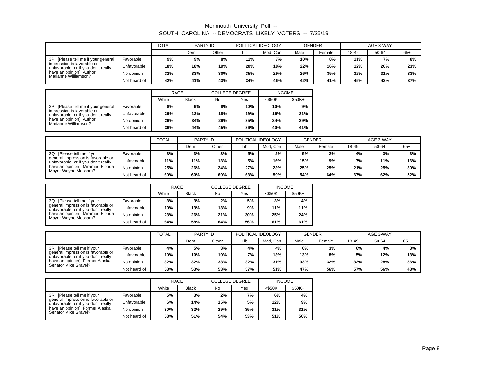|                                                                   |              | <b>TOTAL</b> | PARTY ID |       | POLITICAL IDEOLOGY |          | <b>GENDER</b> |        |       | AGE 3-WAY |       |
|-------------------------------------------------------------------|--------------|--------------|----------|-------|--------------------|----------|---------------|--------|-------|-----------|-------|
|                                                                   |              |              | Dem      | Other | Lib                | Mod. Con | Male          | Female | 18-49 | 50-64     | $65+$ |
| 3P. [Please tell me if your general                               | Favorable    | 9%           | 9%       | 8%    | 11%                | 7%       | 10%           | 8%     | 11%   | 7%        | 8%    |
| impression is favorable or<br>unfavorable, or if you don't really | Unfavorable  | 18%          | 18%      | 19%   | 20%                | 18%      | 22%           | 16%    | 12%   | 20%       | 23%   |
| have an opinion]: Author<br>Marianne Williamson?                  | No opinion   | 32%          | 33%      | 30%   | 35%                | 29%      | 26%           | 35%    | 32%   | 31%       | 33%   |
|                                                                   | Not heard of | 42%          | 41%      | 43%   | 34%                | 46%      | 42%           | 41%    | 45%   | 42%       | 37%   |

|                                                                   |              | <b>RACE</b> |              | <b>COLLEGE DEGREE</b> |     | <b>INCOME</b> |         |
|-------------------------------------------------------------------|--------------|-------------|--------------|-----------------------|-----|---------------|---------|
|                                                                   |              | White       | <b>Black</b> | No                    | Yes | $<$ \$50K     | $$50K+$ |
| 3P. [Please tell me if your general]                              | Favorable    | 8%          | 9%           | 8%                    | 10% | 10%           | 9%      |
| impression is favorable or<br>unfavorable, or if you don't really | Unfavorable  | 29%         | 13%          | 18%                   | 19% | 16%           | 21%     |
| have an opinion]: Author<br>Marianne Williamson?                  | No opinion   | 26%         | 34%          | 29%                   | 35% | 34%           | 29%     |
|                                                                   | Not heard of | 36%         | 44%          | 45%                   | 36% | 40%           | 41%     |

|                                                                           |              | <b>TOTAL</b> | PARTY ID |       | POLITICAL IDEOLOGY |          | <b>GENDER</b> |        |       | AGE 3-WAY |       |
|---------------------------------------------------------------------------|--------------|--------------|----------|-------|--------------------|----------|---------------|--------|-------|-----------|-------|
|                                                                           |              |              | Dem      | Other | Lib                | Mod. Con | Male          | Female | 18-49 | 50-64     | $65+$ |
| . [Please tell me if your<br>3Q.                                          | Favorable    | 3%           | 3%       | 3%    | 5%                 | 2%       | 5%            | 2%     | 4%    | 3%        | 3%    |
| general impression is favorable or<br>unfavorable, or if you don't really | Unfavorable  | 11%          | 11%      | 13%   | 5%                 | 16%      | 15%           | 9%     | 7%    | 11%       | 16%   |
| have an opinion]: Miramar, Florida<br>Mayor Wayne Messam?                 | No opinion   | 25%          | 26%      | 24%   | 27%                | 23%      | 25%           | 25%    | 21%   | 25%       | 30%   |
|                                                                           | Not heard of | 60%          | 60%      | 60%   | 63%                | 59%      | 54%           | 64%    | 67%   | 62%       | 52%   |

|                                                                           |              | <b>RACE</b> |              | <b>COLLEGE DEGREE</b> |     | <b>INCOME</b> |         |
|---------------------------------------------------------------------------|--------------|-------------|--------------|-----------------------|-----|---------------|---------|
|                                                                           |              | White       | <b>Black</b> | No                    | Yes | <\$50K        | $$50K+$ |
| 3Q. [Please tell me if your                                               | Favorable    | 3%          | 3%           | 2%                    | 5%  | 3%            | 4%      |
| general impression is favorable or<br>unfavorable, or if you don't really | Unfavorable  | 10%         | 13%          | 13%                   | 9%  | 11%           | 11%     |
| have an opinion]: Miramar, Florida<br>Mayor Wayne Messam?                 | No opinion   | 23%         | 26%          | 21%                   | 30% | 25%           | 24%     |
|                                                                           | Not heard of | 64%         | 58%          | 64%                   | 56% | 61%           | 61%     |

|                                                                           |              | <b>TOTAL</b> | PARTY ID |       | POLITICAL IDEOLOGY |          | <b>GENDER</b> |                    |       | AGE 3-WAY |       |
|---------------------------------------------------------------------------|--------------|--------------|----------|-------|--------------------|----------|---------------|--------------------|-------|-----------|-------|
|                                                                           |              |              | Dem      | Other | Lib                | Mod. Con | Male          | <sup>⊏</sup> emale | 18-49 | 50-64     | $65+$ |
| 3R. [Please tell me if your                                               | Favorable    | 4%           | 5%       | 3%    | 4%                 | 4%       | 6%            | 3%                 | 6%    | 4%        | 3%    |
| general impression is favorable or<br>unfavorable, or if you don't really | Unfavorable  | 10%          | 10%      | 10%   | 7%                 | 13%      | 13%           | 8%                 | 5%    | 12%       | 13%   |
| have an opinion]: Former Alaska<br>Senator Mike Gravel?                   | No opinion   | 32%          | 32%      | 33%   | 32%                | 31%      | 33%           | 32%                | 32%   | 28%       | 36%   |
|                                                                           | Not heard of | 53%          | 53%      | 53%   | 57%                | 51%      | 47%           | 56%                | 57%   | 56%       | 48%   |

|                                                                           |              | <b>RACE</b> |              | <b>COLLEGE DEGREE</b> |     | <b>INCOME</b> |         |
|---------------------------------------------------------------------------|--------------|-------------|--------------|-----------------------|-----|---------------|---------|
|                                                                           |              | White       | <b>Black</b> | No                    | Yes | $<$ \$50K     | $$50K+$ |
| 3R. [Please tell me if your                                               | Favorable    | 5%          | 3%           | 2%                    | 7%  | 6%            | 4%      |
| general impression is favorable or<br>unfavorable, or if you don't really | Unfavorable  | 6%          | 14%          | 15%                   | 5%  | 12%           | 9%      |
| have an opinion]: Former Alaska<br>Senator Mike Gravel?                   | No opinion   | 30%         | 32%          | 29%                   | 35% | 31%           | 31%     |
|                                                                           | Not heard of | 58%         | 51%          | 54%                   | 53% | 51%           | 56%     |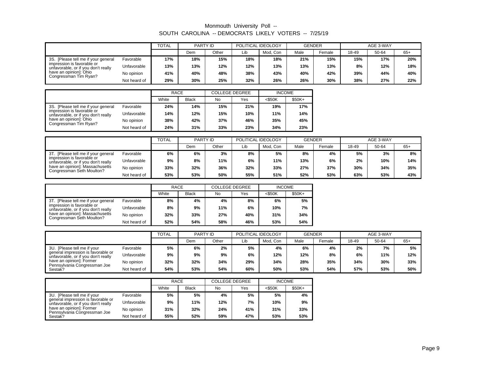|                                                                   |              | <b>TOTAL</b> | PARTY ID |       | POLITICAL IDEOLOGY |          | <b>GENDER</b> |        |       | AGE 3-WAY |       |
|-------------------------------------------------------------------|--------------|--------------|----------|-------|--------------------|----------|---------------|--------|-------|-----------|-------|
|                                                                   |              |              | Dem      | Other | Lib                | Mod. Con | Male          | Female | 18-49 | 50-64     | $65+$ |
| 3S. [Please tell me if your general                               | Favorable    | 17%          | 18%      | 15%   | 18%                | 18%      | 21%           | 15%    | 15%   | 17%       | 20%   |
| impression is favorable or<br>unfavorable, or if you don't really | Unfavorable  | 13%          | 13%      | 12%   | 12%                | 13%      | 13%           | 13%    | 8%    | 12%       | 18%   |
| have an opinion]: Ohio<br>Congressman Tim Ryan?                   | No opinion   | 41%          | 40%      | 48%   | 38%                | 43%      | 40%           | 42%    | 39%   | 44%       | 40%   |
|                                                                   | Not heard of | 29%          | 30%      | 25%   | 32%                | 26%      | 26%           | 30%    | 38%   | 27%       | 22%   |

|                                                                   |              | <b>RACE</b> |              | <b>COLLEGE DEGREE</b> |     | <b>INCOME</b> |         |
|-------------------------------------------------------------------|--------------|-------------|--------------|-----------------------|-----|---------------|---------|
|                                                                   |              | White       | <b>Black</b> | No                    | Yes | $<$ \$50K     | $$50K+$ |
| 3S. [Please tell me if your general]                              | Favorable    | 24%         | 14%          | 15%                   | 21% | 19%           | 17%     |
| impression is favorable or<br>unfavorable, or if you don't really | Unfavorable  | 14%         | 12%          | 15%                   | 10% | 11%           | 14%     |
| have an opinion]: Ohio<br>Congressman Tim Ryan?                   | No opinion   | 38%         | 42%          | 37%                   | 46% | 35%           | 45%     |
|                                                                   | Not heard of | 24%         | 31%          | 33%                   | 23% | 34%           | 23%     |

|                                                                   |              | TOTAL | PARTY ID |       | POLITICAL IDEOLOGY |          | <b>GENDER</b> |        |       | AGE 3-WAY |       |
|-------------------------------------------------------------------|--------------|-------|----------|-------|--------------------|----------|---------------|--------|-------|-----------|-------|
|                                                                   |              |       | Dem      | Other | Lib                | Mod. Con | Male          | Female | 18-49 | 50-64     | $65+$ |
| 3T. [Please tell me if your general]                              | Favorable    | 6%    | 6%       | 3%    | 8%                 | 5%       | 8%            | 4%     | 5%    | 3%        | 8%    |
| impression is favorable or<br>unfavorable, or if you don't really | Unfavorable  | 9%    | 8%       | 11%   | 6%                 | 11%      | 13%           | 6%     | 2%    | 10%       | 14%   |
| have an opinion]: Massachusetts<br>Congressman Seth Moulton?      | No opinion   | 33%   | 32%      | 36%   | 32%                | 33%      | 27%           | 37%    | 30%   | 34%       | 35%   |
|                                                                   | Not heard of | 53%   | 53%      | 50%   | 55%                | 51%      | 52%           | 53%    | 63%   | 53%       | 43%   |

|                                                                   |              | RACE  |              | <b>COLLEGE DEGREE</b> |     | <b>INCOME</b> |         |
|-------------------------------------------------------------------|--------------|-------|--------------|-----------------------|-----|---------------|---------|
|                                                                   |              | White | <b>Black</b> | No                    | Yes | <\$50K        | $$50K+$ |
| 3T. [Please tell me if your general]                              | Favorable    | 8%    | 4%           | 4%                    | 8%  | 6%            | 5%      |
| impression is favorable or<br>unfavorable, or if you don't really | Unfavorable  | 8%    | 9%           | 11%                   | 6%  | 10%           | 7%      |
| have an opinion]: Massachusetts<br>Congressman Seth Moulton?      | No opinion   | 32%   | 33%          | 27%                   | 40% | 31%           | 34%     |
|                                                                   | Not heard of | 52%   | 54%          | 58%                   | 46% | 53%           | 54%     |

|                                                                           |              | <b>TOTAL</b> | PARTY ID |       | POLITICAL IDEOLOGY |          | <b>GENDER</b> |        |       | AGE 3-WAY |       |
|---------------------------------------------------------------------------|--------------|--------------|----------|-------|--------------------|----------|---------------|--------|-------|-----------|-------|
|                                                                           |              |              | Dem      | Other | Lib                | Mod. Con | Male          | Female | 18-49 | 50-64     | $65+$ |
| 3U. [Please tell me if your                                               | Favorable    | 5%           | 6%       | 2%    | 5%                 | 4%       | 6%            | 4%     | 2%    | 7%        | 5%    |
| general impression is favorable or<br>unfavorable, or if you don't really | Unfavorable  | 9%           | 9%       | 9%    | 6%                 | 12%      | 12%           | 8%     | 6%    | 11%       | 12%   |
| have an opinion]: Former<br>Pennsylvania Congressman Joe                  | No opinion   | 32%          | 32%      | 34%   | 29%                | 34%      | 28%           | 35%    | 34%   | 30%       | 33%   |
| Sestak?                                                                   | Not heard of | 54%          | 53%      | 54%   | 60%                | 50%      | 53%           | 54%    | 57%   | 53%       | 50%   |

|                                                                           |              | <b>RACE</b> |              | <b>COLLEGE DEGREE</b> |     | <b>INCOME</b> |         |
|---------------------------------------------------------------------------|--------------|-------------|--------------|-----------------------|-----|---------------|---------|
|                                                                           |              |             | <b>Black</b> | No                    | Yes | $<$ \$50K     | $$50K+$ |
| 3U. [Please tell me if your                                               | Favorable    | 5%          | 5%           | 4%                    | 5%  | 5%            | 4%      |
| general impression is favorable or<br>unfavorable, or if you don't really | Unfavorable  | 9%          | 11%          | 12%                   | 7%  | 10%           | 9%      |
| have an opinion]: Former<br>Pennsylvania Congressman Joe                  | No opinion   | 31%         | 32%          | 24%                   | 41% | 31%           | 33%     |
| Sestak?                                                                   | Not heard of | 55%         | 52%          | 59%                   | 47% | 53%           | 53%     |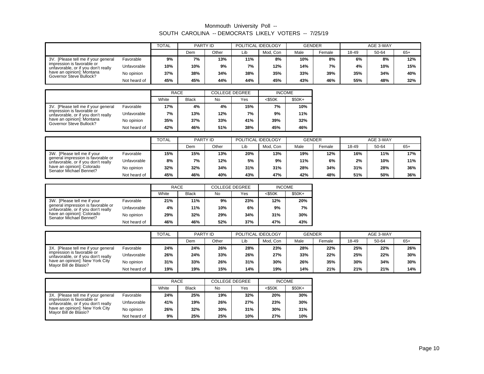|                                                                   |              | <b>TOTAL</b> | PARTY ID |       | POLITICAL IDEOLOGY |          | <b>GENDER</b> |                    |       | AGE 3-WAY |       |
|-------------------------------------------------------------------|--------------|--------------|----------|-------|--------------------|----------|---------------|--------------------|-------|-----------|-------|
|                                                                   |              |              | Dem      | Other | Lib                | Mod. Con | Male          | <sup>=</sup> emale | 18-49 | 50-64     | $65+$ |
| 3V. [Please tell me if your general                               | Favorable    | 9%           | 7%       | 13%   | 11%                | 8%       | 10%           | 8%                 | 6%    | 8%        | 12%   |
| impression is favorable or<br>unfavorable, or if you don't really | Unfavorable  | 10%          | 10%      | 9%    | 7%                 | 12%      | 14%           | 7%                 | 4%    | 10%       | 15%   |
| have an opinion]: Montana<br>Governor Steve Bullock?              | No opinion   | 37%          | 38%      | 34%   | 38%                | 35%      | 33%           | 39%                | 35%   | 34%       | 40%   |
|                                                                   | Not heard of | 45%          | 45%      | 44%   | 44%                | 45%      | 43%           | 46%                | 55%   | 48%       | 32%   |

|                                                                   |              | <b>RACE</b> |              | <b>COLLEGE DEGREE</b> |     | <b>INCOME</b> |         |
|-------------------------------------------------------------------|--------------|-------------|--------------|-----------------------|-----|---------------|---------|
|                                                                   |              | White       | <b>Black</b> | No                    | Yes | $<$ \$50K     | $$50K+$ |
| 3V. [Please tell me if your general]                              | Favorable    | 17%         | 4%           | 4%                    | 15% | 7%            | 10%     |
| impression is favorable or<br>unfavorable, or if you don't really | Unfavorable  | 7%          | 13%          | 12%                   | 7%  | 9%            | 11%     |
| have an opinion!: Montana<br>Governor Steve Bullock?              | No opinion   | 35%         | 37%          | 33%                   | 41% | 39%           | 32%     |
|                                                                   | Not heard of | 42%         | 46%          | 51%                   | 38% | 45%           | 46%     |

|                                                                           |              | <b>TOTAL</b> | PARTY ID |       |     | POLITICAL IDEOLOGY | <b>GENDER</b> |        |       | AGE 3-WAY |       |
|---------------------------------------------------------------------------|--------------|--------------|----------|-------|-----|--------------------|---------------|--------|-------|-----------|-------|
|                                                                           |              |              | Dem      | Other | Lib | Mod. Con           | Male          | Female | 18-49 | 50-64     | $65+$ |
| 3W. [Please tell me if your                                               | Favorable    | 15%          | 15%      | 13%   | 20% | 13%                | 19%           | 12%    | 16%   | 11%       | 17%   |
| general impression is favorable or<br>unfavorable, or if you don't really | Unfavorable  | 8%           | 7%       | 12%   | 5%  | 9%                 | 11%           | 6%     | 2%    | 10%       | 11%   |
| have an opinion]: Colorado<br>Senator Michael Bennet?                     | No opinion   | 32%          | 32%      | 34%   | 31% | 31%                | 28%           | 34%    | 31%   | 28%       | 36%   |
|                                                                           | Not heard of | 45%          | 46%      | 40%   | 43% | 47%                | 42%           | 48%    | 51%   | 50%       | 36%   |

|                                                                           |              | RACE  |              | <b>COLLEGE DEGREE</b> |     | <b>INCOME</b> |         |  |
|---------------------------------------------------------------------------|--------------|-------|--------------|-----------------------|-----|---------------|---------|--|
|                                                                           |              | White | <b>Black</b> | <b>No</b>             | Yes | <\$50K        | $$50K+$ |  |
| 3W. [Please tell me if your                                               | Favorable    | 21%   | 11%          | 9%                    | 23% | 12%           | 20%     |  |
| general impression is favorable or<br>unfavorable, or if you don't really | Unfavorable  | 4%    | 11%          | 10%                   | 6%  | 9%            | 7%      |  |
| have an opinion!: Colorado<br>Senator Michael Bennet?                     | No opinion   | 29%   | 32%          | 29%                   | 34% | 31%           | 30%     |  |
|                                                                           | Not heard of | 46%   | 46%          | 52%                   | 37% | 47%           | 43%     |  |

|                                                                   |              | <b>TOTAL</b> | PARTY ID |       | POLITICAL IDEOLOGY |          | <b>GENDER</b> |        |       | AGE 3-WAY |       |
|-------------------------------------------------------------------|--------------|--------------|----------|-------|--------------------|----------|---------------|--------|-------|-----------|-------|
|                                                                   |              |              | Dem      | Other | Lib                | Mod, Con | Male          | Female | 18-49 | 50-64     | $65+$ |
| 3X. [Please tell me if your general                               | Favorable    | 24%          | 24%      | 26%   | 28%                | 23%      | 28%           | 22%    | 25%   | 22%       | 26%   |
| impression is favorable or<br>unfavorable, or if you don't really | Unfavorable  | 26%          | 24%      | 33%   | 26%                | 27%      | 33%           | 22%    | 25%   | 22%       | 30%   |
| have an opinion]: New York City<br>Mayor Bill de Blasio?          | No opinion   | 31%          | 33%      | 26%   | 31%                | 30%      | 26%           | 35%    | 30%   | 34%       | 30%   |
|                                                                   | Not heard of | 19%          | 19%      | 15%   | 14%                | 19%      | 14%           | 21%    | 21%   | 21%       | 14%   |

|                                                                   |              | <b>RACE</b> |              | <b>COLLEGE DEGREE</b> |     | <b>INCOME</b> |         |
|-------------------------------------------------------------------|--------------|-------------|--------------|-----------------------|-----|---------------|---------|
|                                                                   |              | White       | <b>Black</b> | No                    | Yes | $<$ \$50K     | $$50K+$ |
| 3X. [Please tell me if your general                               | Favorable    | 24%         | 25%          | 19%                   | 32% | 20%           | 30%     |
| impression is favorable or<br>unfavorable, or if you don't really | Unfavorable  | 41%         | 19%          | 26%                   | 27% | 23%           | 30%     |
| have an opinion]: New York City<br>Mayor Bill de Blasio?          | No opinion   | 26%         | 32%          | 30%                   | 31% | 30%           | 31%     |
|                                                                   | Not heard of | 9%          | 25%          | 25%                   | 10% | 27%           | 10%     |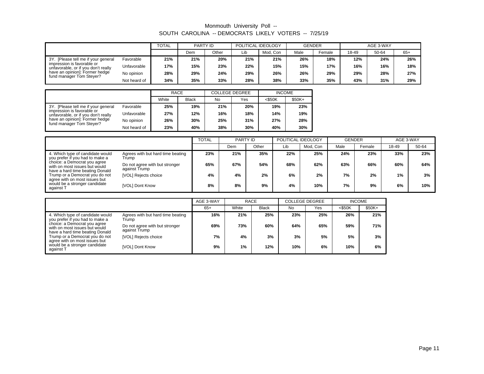|                                                                                                                                                                        |              | <b>TOTAL</b> | PARTY ID |       | POLITICAL IDEOLOGY |          | <b>GENDER</b> |        | AGE 3-WAY |       |       |
|------------------------------------------------------------------------------------------------------------------------------------------------------------------------|--------------|--------------|----------|-------|--------------------|----------|---------------|--------|-----------|-------|-------|
|                                                                                                                                                                        |              |              | Dem      | Other | ∟ib                | Mod. Con | Male          | Female | 18-49     | 50-64 | $65+$ |
| 3Y. [Please tell me if your general<br>impression is favorable or<br>unfavorable, or if you don't really<br>have an opinion]: Former hedge<br>fund manager Tom Steyer? | Favorable    | 21%          | 21%      | 20%   | 21%                | 21%      | 26%           | 18%    | 12%       | 24%   | 26%   |
|                                                                                                                                                                        | Unfavorable  | 17%          | 15%      | 23%   | 22%                | 15%      | 15%           | 17%    | 16%       | 16%   | 18%   |
|                                                                                                                                                                        | No opinion   | 28%          | 29%      | 24%   | 29%                | 26%      | 26%           | 29%    | 29%       | 28%   | 27%   |
|                                                                                                                                                                        | Not heard of | 34%          | 35%      | 33%   | 28%                | 38%      | 33%           | 35%    | 43%       | 31%   | 29%   |

|                                                                                                                                 |              |     | <b>RACE</b><br><b>COLLEGE DEGREE</b> |     |     | <b>INCOME</b> |         |
|---------------------------------------------------------------------------------------------------------------------------------|--------------|-----|--------------------------------------|-----|-----|---------------|---------|
|                                                                                                                                 |              |     | <b>Black</b>                         | No  | Yes | $<$ \$50K     | $$50K+$ |
| 3Y. [Please tell me if your general]                                                                                            | Favorable    | 25% | 19%                                  | 21% | 20% | 19%           | 23%     |
| impression is favorable or<br>unfavorable, or if you don't really<br>have an opinion]: Former hedge<br>fund manager Tom Steyer? | Unfavorable  | 27% | 12%                                  | 16% | 18% | 14%           | 19%     |
|                                                                                                                                 | No opinion   | 26% | 30%                                  | 25% | 31% | 27%           | 28%     |
|                                                                                                                                 | Not heard of | 23% | 40%                                  | 38% | 30% | 40%           | 30%     |

|                                                                                                                                                                                                                                            |                                                 | <b>TOTAL</b><br>POLITICAL IDEOLOGY<br>PARTY ID |     |       | <b>GENDER</b> |          | AGE 3-WAY |        |       |       |
|--------------------------------------------------------------------------------------------------------------------------------------------------------------------------------------------------------------------------------------------|-------------------------------------------------|------------------------------------------------|-----|-------|---------------|----------|-----------|--------|-------|-------|
|                                                                                                                                                                                                                                            |                                                 |                                                | Dem | Other | Lib           | Mod, Con | Male      | Female | 18-49 | 50-64 |
| 4. Which type of candidate would<br>you prefer if you had to make a<br>choice: a Democrat you agree<br>with on most issues but would<br>have a hard time beating Donald<br>Trump or a Democrat you do not<br>agree with on most issues but | Agrees with but hard time beating<br>Trump      | 23%                                            | 21% | 35%   | 22%           | 25%      | 24%       | 23%    | 33%   | 23%   |
|                                                                                                                                                                                                                                            | Do not agree with but stronger<br>against Trump | 65%                                            | 67% | 54%   | 68%           | 62%      | 63%       | 66%    | 60%   | 64%   |
|                                                                                                                                                                                                                                            | [VOL] Rejects choice                            | 4%                                             | 4%  | 2%    | 6%            | 2%       | 7%        | 2%     | $1\%$ | 3%    |
| would be a stronger candidate<br>against 1                                                                                                                                                                                                 | [VOL] Dont Know                                 | 8%                                             | 8%  | 9%    | 4%            | 10%      | 7%        | 9%     | 6%    | 10%   |

|                                                                                                  |                                                 | AGE 3-WAY<br>RACE |       | <b>COLLEGE DEGREE</b> |           | <b>INCOME</b> |           |        |
|--------------------------------------------------------------------------------------------------|-------------------------------------------------|-------------------|-------|-----------------------|-----------|---------------|-----------|--------|
|                                                                                                  |                                                 | $65+$             | White | <b>Black</b>          | <b>No</b> | Yes           | $<$ \$50K | \$50K+ |
| 4. Which type of candidate would<br>you prefer if you had to make a                              | Agrees with but hard time beating<br>Trump      | 16%               | 21%   | 25%                   | 23%       | 25%           | 26%       | 21%    |
| choice: a Democrat you agree<br>with on most issues but would<br>have a hard time beating Donald | Do not agree with but stronger<br>against Trump | 69%               | 73%   | 60%                   | 64%       | 65%           | 59%       | 71%    |
| Trump or a Democrat you do not<br>agree with on most issues but                                  | [VOL] Rejects choice                            | 7%                | 4%    | 3%                    | 3%        | 5%            | 5%        | 3%     |
| would be a stronger candidate<br>against T                                                       | [VOL] Dont Know                                 | 9%                | $1\%$ | 12%                   | 10%       | 6%            | 10%       | 6%     |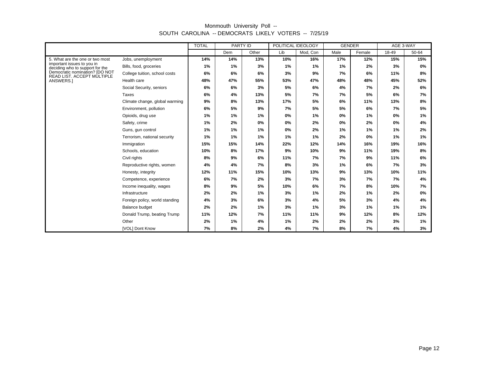|                                                               |                                | <b>TOTAL</b><br>PARTY ID |       | POLITICAL IDEOLOGY |     | <b>GENDER</b> |      | AGE 3-WAY |       |       |
|---------------------------------------------------------------|--------------------------------|--------------------------|-------|--------------------|-----|---------------|------|-----------|-------|-------|
|                                                               |                                |                          | Dem   | Other              | Lib | Mod, Con      | Male | Female    | 18-49 | 50-64 |
| 5. What are the one or two most                               | Jobs, unemployment             | 14%                      | 14%   | 13%                | 10% | 16%           | 17%  | 12%       | 15%   | 15%   |
| important issues to you in<br>deciding who to support for the | Bills, food, groceries         | 1%                       | 1%    | 3%                 | 1%  | 1%            | 1%   | 2%        | 3%    | 0%    |
| Democratic nomination? [DO NOT<br>READ LIST. ACCEPT MULTIPLE  | College tuition, school costs  | 6%                       | 6%    | 6%                 | 3%  | 9%            | 7%   | 6%        | 11%   | 8%    |
| ANSWERS.]                                                     | Health care                    | 48%                      | 47%   | 55%                | 53% | 47%           | 48%  | 48%       | 45%   | 52%   |
|                                                               | Social Security, seniors       | 6%                       | 6%    | 3%                 | 5%  | 6%            | 4%   | 7%        | 2%    | 6%    |
|                                                               | Taxes                          | 6%                       | 4%    | 13%                | 5%  | 7%            | 7%   | 5%        | 6%    | 7%    |
|                                                               | Climate change, global warming | 9%                       | 8%    | 13%                | 17% | 5%            | 6%   | 11%       | 13%   | 8%    |
|                                                               | Environment, pollution         | 6%                       | 5%    | 9%                 | 7%  | 5%            | 5%   | 6%        | 7%    | 5%    |
|                                                               | Opioids, drug use              | 1%                       | $1\%$ | 1%                 | 0%  | 1%            | 0%   | $1\%$     | 0%    | 1%    |
|                                                               | Safety, crime                  | 1%                       | 2%    | 0%                 | 0%  | 2%            | 0%   | 2%        | 0%    | 4%    |
|                                                               | Guns, qun control              | 1%                       | 1%    | 1%                 | 0%  | 2%            | 1%   | 1%        | 1%    | 2%    |
|                                                               | Terrorism, national security   | 1%                       | 1%    | 1%                 | 1%  | 1%            | 2%   | $0\%$     | 1%    | 1%    |
|                                                               | Immigration                    | 15%                      | 15%   | 14%                | 22% | 12%           | 14%  | 16%       | 19%   | 16%   |
|                                                               | Schools, education             | 10%                      | 8%    | 17%                | 9%  | 10%           | 9%   | 11%       | 19%   | 8%    |
|                                                               | Civil rights                   | 8%                       | 9%    | 6%                 | 11% | 7%            | 7%   | 9%        | 11%   | 6%    |
|                                                               | Reproductive rights, women     | 4%                       | 4%    | 7%                 | 8%  | 3%            | 1%   | 6%        | 7%    | 3%    |
|                                                               | Honesty, integrity             | 12%                      | 11%   | 15%                | 10% | 13%           | 9%   | 13%       | 10%   | 11%   |
|                                                               | Competence, experience         | 6%                       | 7%    | 2%                 | 3%  | 7%            | 3%   | 7%        | 7%    | 4%    |
|                                                               | Income inequality, wages       | 8%                       | 9%    | 5%                 | 10% | 6%            | 7%   | 8%        | 10%   | 7%    |
|                                                               | Infrastructure                 | 2%                       | 2%    | 1%                 | 3%  | 1%            | 2%   | $1\%$     | 2%    | 0%    |
|                                                               | Foreign policy, world standing | 4%                       | 3%    | 6%                 | 3%  | 4%            | 5%   | 3%        | 4%    | 4%    |
|                                                               | Balance budget                 | 2%                       | 2%    | 1%                 | 3%  | 1%            | 3%   | 1%        | 1%    | 1%    |
|                                                               | Donald Trump, beating Trump    | 11%                      | 12%   | 7%                 | 11% | 11%           | 9%   | 12%       | 8%    | 12%   |
|                                                               | Other                          | 2%                       | 1%    | 4%                 | 1%  | 2%            | 2%   | 2%        | 3%    | 1%    |
|                                                               | [VOL] Dont Know                | 7%                       | 8%    | 2%                 | 4%  | 7%            | 8%   | 7%        | 4%    | 3%    |